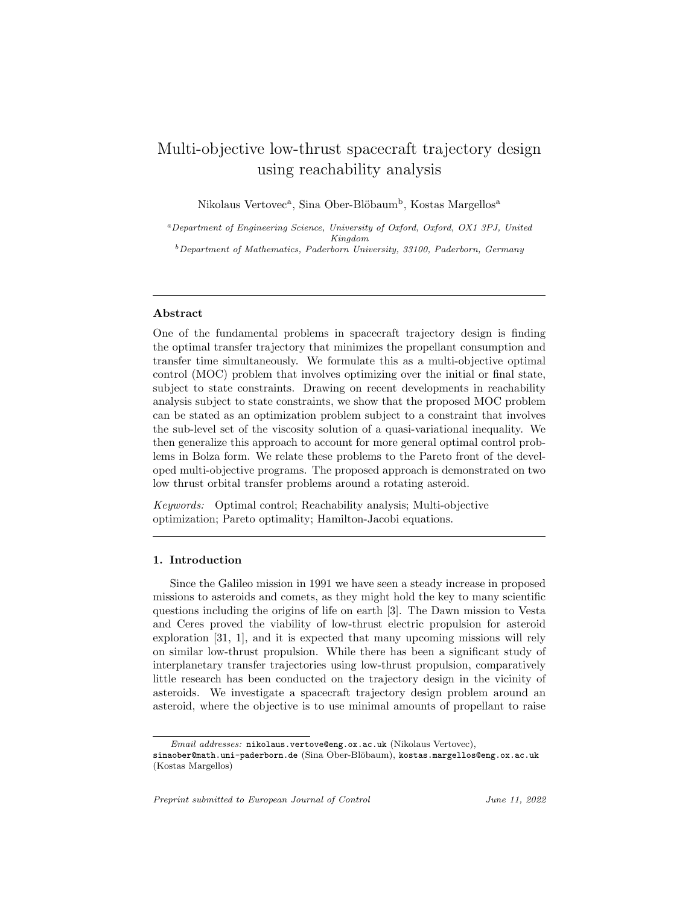# Multi-objective low-thrust spacecraft trajectory design using reachability analysis

Nikolaus Vertovec<sup>a</sup>, Sina Ober-Blöbaum<sup>b</sup>, Kostas Margellos<sup>a</sup>

<sup>a</sup>Department of Engineering Science, University of Oxford, Oxford, OX1 3PJ, United Kingdom  $^{b}$  Department of Mathematics, Paderborn University, 33100, Paderborn, Germany

#### Abstract

One of the fundamental problems in spacecraft trajectory design is finding the optimal transfer trajectory that minimizes the propellant consumption and transfer time simultaneously. We formulate this as a multi-objective optimal control (MOC) problem that involves optimizing over the initial or final state, subject to state constraints. Drawing on recent developments in reachability analysis subject to state constraints, we show that the proposed MOC problem can be stated as an optimization problem subject to a constraint that involves the sub-level set of the viscosity solution of a quasi-variational inequality. We then generalize this approach to account for more general optimal control problems in Bolza form. We relate these problems to the Pareto front of the developed multi-objective programs. The proposed approach is demonstrated on two low thrust orbital transfer problems around a rotating asteroid.

*Keywords:* Optimal control; Reachability analysis; Multi-objective optimization; Pareto optimality; Hamilton-Jacobi equations.

#### 1. Introduction

Since the Galileo mission in 1991 we have seen a steady increase in proposed missions to asteroids and comets, as they might hold the key to many scientific questions including the origins of life on earth [3]. The Dawn mission to Vesta and Ceres proved the viability of low-thrust electric propulsion for asteroid exploration [31, 1], and it is expected that many upcoming missions will rely on similar low-thrust propulsion. While there has been a significant study of interplanetary transfer trajectories using low-thrust propulsion, comparatively little research has been conducted on the trajectory design in the vicinity of asteroids. We investigate a spacecraft trajectory design problem around an asteroid, where the objective is to use minimal amounts of propellant to raise

Preprint submitted to European Journal of Control Tune 11, 2022

Email addresses: nikolaus.vertove@eng.ox.ac.uk (Nikolaus Vertovec),

sinaober@math.uni-paderborn.de (Sina Ober-Blöbaum), kostas.margellos@eng.ox.ac.uk (Kostas Margellos)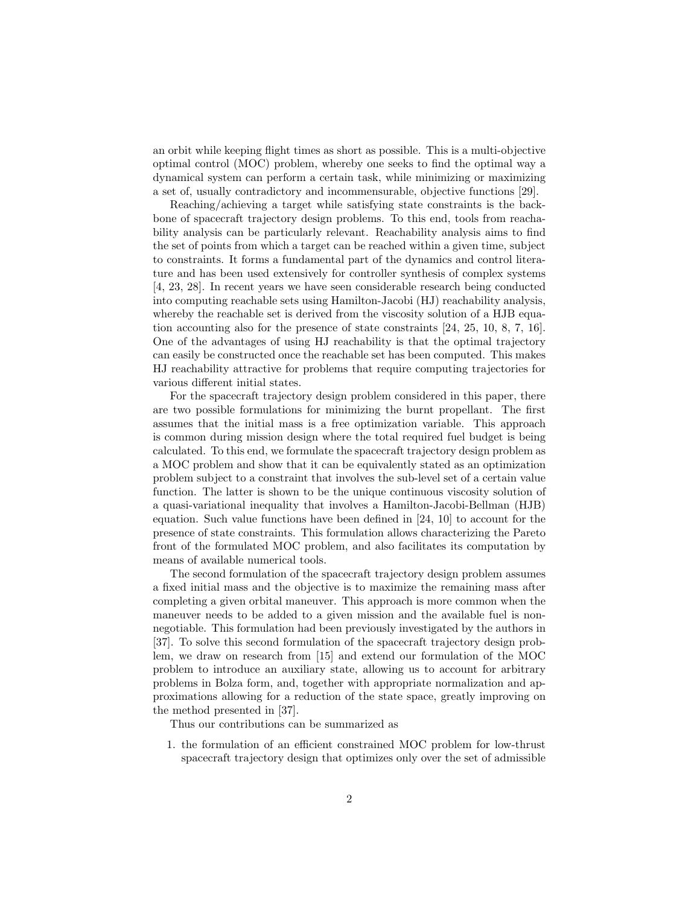an orbit while keeping flight times as short as possible. This is a multi-objective optimal control (MOC) problem, whereby one seeks to find the optimal way a dynamical system can perform a certain task, while minimizing or maximizing a set of, usually contradictory and incommensurable, objective functions [29].

Reaching/achieving a target while satisfying state constraints is the backbone of spacecraft trajectory design problems. To this end, tools from reachability analysis can be particularly relevant. Reachability analysis aims to find the set of points from which a target can be reached within a given time, subject to constraints. It forms a fundamental part of the dynamics and control literature and has been used extensively for controller synthesis of complex systems [4, 23, 28]. In recent years we have seen considerable research being conducted into computing reachable sets using Hamilton-Jacobi (HJ) reachability analysis, whereby the reachable set is derived from the viscosity solution of a HJB equation accounting also for the presence of state constraints [24, 25, 10, 8, 7, 16]. One of the advantages of using HJ reachability is that the optimal trajectory can easily be constructed once the reachable set has been computed. This makes HJ reachability attractive for problems that require computing trajectories for various different initial states.

For the spacecraft trajectory design problem considered in this paper, there are two possible formulations for minimizing the burnt propellant. The first assumes that the initial mass is a free optimization variable. This approach is common during mission design where the total required fuel budget is being calculated. To this end, we formulate the spacecraft trajectory design problem as a MOC problem and show that it can be equivalently stated as an optimization problem subject to a constraint that involves the sub-level set of a certain value function. The latter is shown to be the unique continuous viscosity solution of a quasi-variational inequality that involves a Hamilton-Jacobi-Bellman (HJB) equation. Such value functions have been defined in [24, 10] to account for the presence of state constraints. This formulation allows characterizing the Pareto front of the formulated MOC problem, and also facilitates its computation by means of available numerical tools.

The second formulation of the spacecraft trajectory design problem assumes a fixed initial mass and the objective is to maximize the remaining mass after completing a given orbital maneuver. This approach is more common when the maneuver needs to be added to a given mission and the available fuel is nonnegotiable. This formulation had been previously investigated by the authors in [37]. To solve this second formulation of the spacecraft trajectory design problem, we draw on research from [15] and extend our formulation of the MOC problem to introduce an auxiliary state, allowing us to account for arbitrary problems in Bolza form, and, together with appropriate normalization and approximations allowing for a reduction of the state space, greatly improving on the method presented in [37].

Thus our contributions can be summarized as

1. the formulation of an efficient constrained MOC problem for low-thrust spacecraft trajectory design that optimizes only over the set of admissible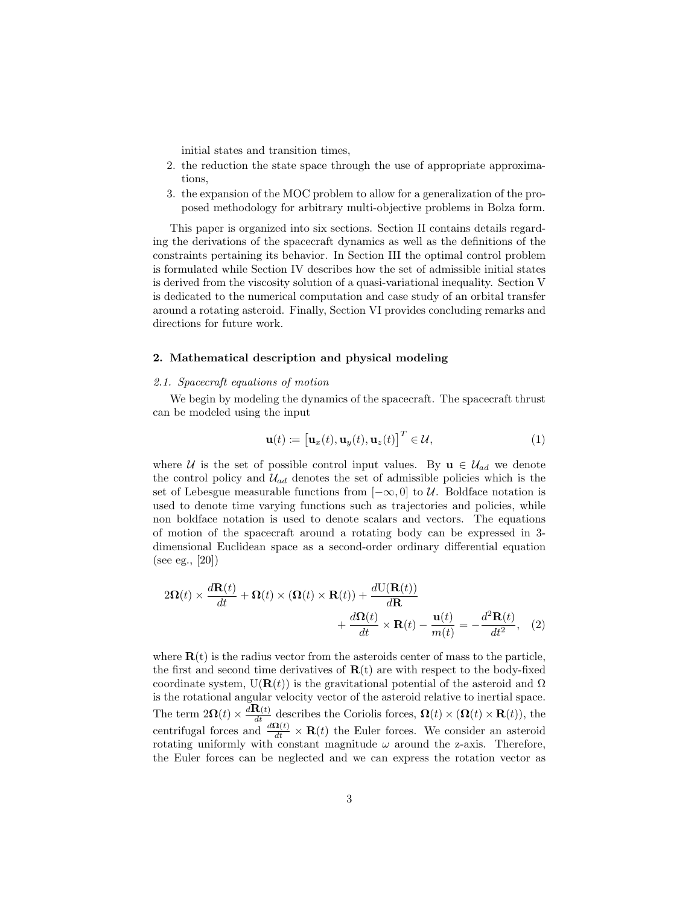initial states and transition times,

- 2. the reduction the state space through the use of appropriate approximations,
- 3. the expansion of the MOC problem to allow for a generalization of the proposed methodology for arbitrary multi-objective problems in Bolza form.

This paper is organized into six sections. Section II contains details regarding the derivations of the spacecraft dynamics as well as the definitions of the constraints pertaining its behavior. In Section III the optimal control problem is formulated while Section IV describes how the set of admissible initial states is derived from the viscosity solution of a quasi-variational inequality. Section V is dedicated to the numerical computation and case study of an orbital transfer around a rotating asteroid. Finally, Section VI provides concluding remarks and directions for future work.

## 2. Mathematical description and physical modeling

### *2.1. Spacecraft equations of motion*

We begin by modeling the dynamics of the spacecraft. The spacecraft thrust can be modeled using the input

$$
\mathbf{u}(t) := \left[\mathbf{u}_x(t), \mathbf{u}_y(t), \mathbf{u}_z(t)\right]^T \in \mathcal{U},\tag{1}
$$

where U is the set of possible control input values. By  $\mathbf{u} \in \mathcal{U}_{ad}$  we denote the control policy and  $\mathcal{U}_{ad}$  denotes the set of admissible policies which is the set of Lebesgue measurable functions from  $[-\infty, 0]$  to U. Boldface notation is used to denote time varying functions such as trajectories and policies, while non boldface notation is used to denote scalars and vectors. The equations of motion of the spacecraft around a rotating body can be expressed in 3 dimensional Euclidean space as a second-order ordinary differential equation (see eg., [20])

$$
2\Omega(t) \times \frac{d\mathbf{R}(t)}{dt} + \Omega(t) \times (\Omega(t) \times \mathbf{R}(t)) + \frac{dU(\mathbf{R}(t))}{d\mathbf{R}} + \frac{d\Omega(t)}{dt} \times \mathbf{R}(t) - \frac{\mathbf{u}(t)}{m(t)} = -\frac{d^2\mathbf{R}(t)}{dt^2},
$$
 (2)

where  $\mathbf{R}(t)$  is the radius vector from the asteroids center of mass to the particle, the first and second time derivatives of  $\mathbf{R}(t)$  are with respect to the body-fixed coordinate system,  $U(\mathbf{R}(t))$  is the gravitational potential of the asteroid and  $\Omega$ is the rotational angular velocity vector of the asteroid relative to inertial space. The term  $2\Omega(t) \times \frac{d\mathbf{R}(t)}{dt}$  describes the Coriolis forces,  $\Omega(t) \times (\Omega(t) \times \mathbf{R}(t))$ , the centrifugal forces and  $\frac{d\Omega(t)}{dt} \times \mathbf{R}(t)$  the Euler forces. We consider an asteroid rotating uniformly with constant magnitude  $\omega$  around the z-axis. Therefore, the Euler forces can be neglected and we can express the rotation vector as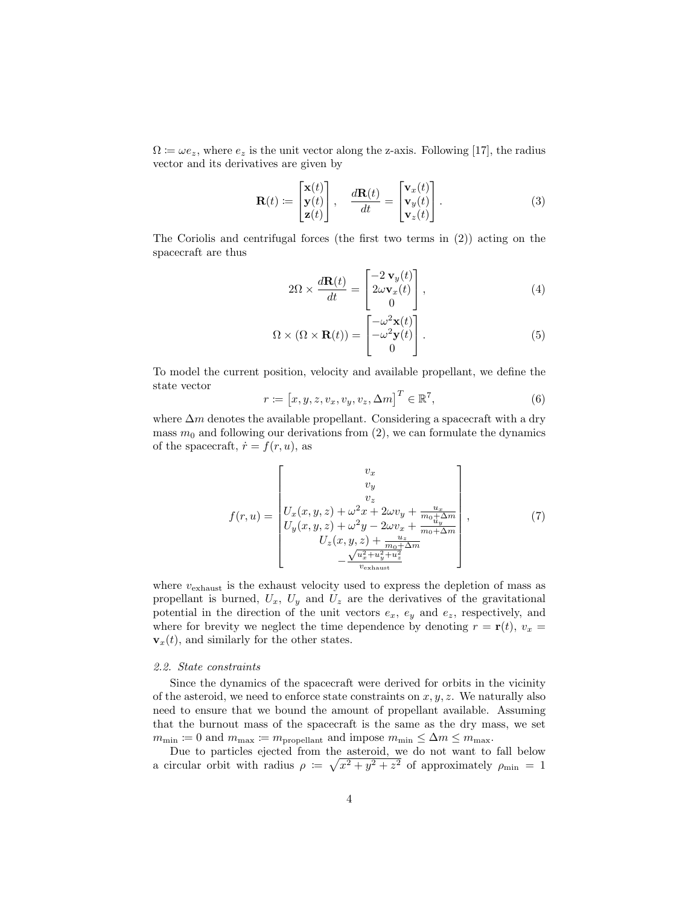$\Omega = \omega e_z$ , where  $e_z$  is the unit vector along the z-axis. Following [17], the radius vector and its derivatives are given by

$$
\mathbf{R}(t) := \begin{bmatrix} \mathbf{x}(t) \\ \mathbf{y}(t) \\ \mathbf{z}(t) \end{bmatrix}, \quad \frac{d\mathbf{R}(t)}{dt} = \begin{bmatrix} \mathbf{v}_x(t) \\ \mathbf{v}_y(t) \\ \mathbf{v}_z(t) \end{bmatrix}.
$$
 (3)

The Coriolis and centrifugal forces (the first two terms in (2)) acting on the spacecraft are thus

$$
2\Omega \times \frac{d\mathbf{R}(t)}{dt} = \begin{bmatrix} -2\,\mathbf{v}_y(t) \\ 2\omega \mathbf{v}_x(t) \\ 0 \end{bmatrix},\tag{4}
$$

$$
\Omega \times (\Omega \times \mathbf{R}(t)) = \begin{bmatrix} -\omega^2 \mathbf{x}(t) \\ -\omega^2 \mathbf{y}(t) \\ 0 \end{bmatrix} . \tag{5}
$$

To model the current position, velocity and available propellant, we define the state vector

$$
r \coloneqq [x, y, z, v_x, v_y, v_z, \Delta m]^T \in \mathbb{R}^7,
$$
\n(6)

where  $\Delta m$  denotes the available propellant. Considering a spacecraft with a dry mass  $m_0$  and following our derivations from (2), we can formulate the dynamics of the spacecraft,  $\dot{r} = f(r, u)$ , as

$$
f(r, u) = \begin{bmatrix} v_x \\ v_y \\ v_z \\ U_x(x, y, z) + \omega^2 x + 2\omega v_y + \frac{u_x}{m_0 + \Delta m} \\ U_y(x, y, z) + \omega^2 y - 2\omega v_x + \frac{u_y}{m_0 + \Delta m} \\ U_z(x, y, z) + \frac{u_z}{m_0 + \Delta m} \\ -\frac{\sqrt{u_x^2 + u_y^2 + u_z^2}}{v_{\text{exhaust}}}\end{bmatrix},
$$
(7)

where  $v_{\text{exhaust}}$  is the exhaust velocity used to express the depletion of mass as propellant is burned,  $U_x$ ,  $U_y$  and  $U_z$  are the derivatives of the gravitational potential in the direction of the unit vectors  $e_x$ ,  $e_y$  and  $e_z$ , respectively, and where for brevity we neglect the time dependence by denoting  $r = \mathbf{r}(t)$ ,  $v_x =$  $\mathbf{v}_x(t)$ , and similarly for the other states.

## *2.2. State constraints*

Since the dynamics of the spacecraft were derived for orbits in the vicinity of the asteroid, we need to enforce state constraints on  $x, y, z$ . We naturally also need to ensure that we bound the amount of propellant available. Assuming that the burnout mass of the spacecraft is the same as the dry mass, we set  $m_{\min} \coloneqq 0$  and  $m_{\max} \coloneqq m_{\text{propellant}}$  and impose  $m_{\min} \leq \Delta m \leq m_{\max}.$ 

Due to particles ejected from the asteroid, we do not want to fall below a circular orbit with radius  $\rho := \sqrt{x^2 + y^2 + z^2}$  of approximately  $\rho_{\min} = 1$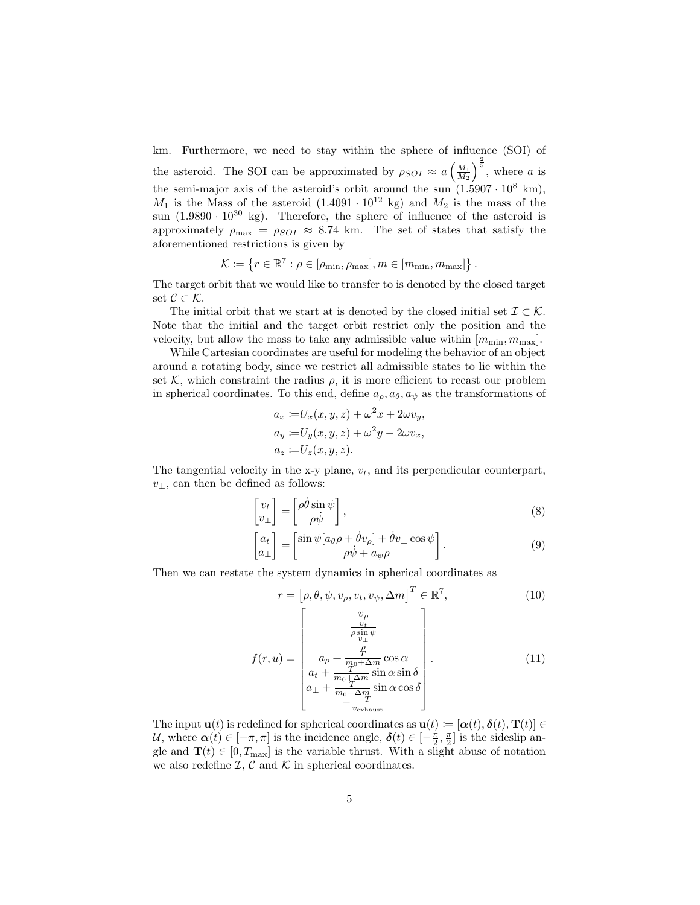km. Furthermore, we need to stay within the sphere of influence (SOI) of the asteroid. The SOI can be approximated by  $\rho_{SOI} \approx a \left(\frac{M_1}{M_2}\right)^{\frac{2}{5}}$ , where a is the semi-major axis of the asteroid's orbit around the sun  $(1.5907 \cdot 10^8 \text{ km})$ ,  $M_1$  is the Mass of the asteroid  $(1.4091 \cdot 10^{12} \text{ kg})$  and  $M_2$  is the mass of the sun  $(1.9890 \cdot 10^{30} \text{ kg})$ . Therefore, the sphere of influence of the asteroid is approximately  $\rho_{\text{max}} = \rho_{SOI} \approx 8.74 \text{ km.}$  The set of states that satisfy the aforementioned restrictions is given by

$$
\mathcal{K} \coloneqq \left\{ r \in \mathbb{R}^7 : \rho \in [\rho_{\min}, \rho_{\max}], m \in [m_{\min}, m_{\max}] \right\}.
$$

The target orbit that we would like to transfer to is denoted by the closed target set  $\mathcal{C} \subset \mathcal{K}$ .

The initial orbit that we start at is denoted by the closed initial set  $\mathcal{I} \subset \mathcal{K}$ . Note that the initial and the target orbit restrict only the position and the velocity, but allow the mass to take any admissible value within  $[m_{\min}, m_{\max}]$ .

While Cartesian coordinates are useful for modeling the behavior of an object around a rotating body, since we restrict all admissible states to lie within the set K, which constraint the radius  $\rho$ , it is more efficient to recast our problem in spherical coordinates. To this end, define  $a_{\rho}, a_{\theta}, a_{\psi}$  as the transformations of

$$
a_x := U_x(x, y, z) + \omega^2 x + 2\omega v_y,
$$
  
\n
$$
a_y := U_y(x, y, z) + \omega^2 y - 2\omega v_x,
$$
  
\n
$$
a_z := U_z(x, y, z).
$$

The tangential velocity in the x-y plane,  $v_t$ , and its perpendicular counterpart,  $v_$ ⊥, can then be defined as follows:

$$
\begin{bmatrix} v_t \\ v_\perp \end{bmatrix} = \begin{bmatrix} \rho \dot{\theta} \sin \psi \\ \rho \dot{\psi} \end{bmatrix},\tag{8}
$$

$$
\begin{bmatrix} a_t \\ a_{\perp} \end{bmatrix} = \begin{bmatrix} \sin \psi [a_{\theta} \rho + \dot{\theta} v_{\rho}] + \dot{\theta} v_{\perp} \cos \psi \\ \rho \dot{\psi} + a_{\psi} \rho \end{bmatrix} . \tag{9}
$$

Then we can restate the system dynamics in spherical coordinates as

$$
r = \left[\rho, \theta, \psi, v_{\rho}, v_{t}, v_{\psi}, \Delta m\right]^{T} \in \mathbb{R}^{7},\tag{10}
$$

$$
f(r, u) = \begin{bmatrix} v_{\rho} \\ \frac{v_t}{\rho \sin \psi} \\ a_{\rho} + \frac{\rho}{m_0 + \Delta m} \cos \alpha \\ a_t + \frac{T}{m_0 + \Delta m} \sin \alpha \sin \delta \\ a_{\perp} + \frac{T}{m_0 + \Delta m} \sin \alpha \cos \delta \\ -\frac{T}{v_{\text{exhaust}}}\end{bmatrix}.
$$
 (11)

The input  $\mathbf{u}(t)$  is redefined for spherical coordinates as  $\mathbf{u}(t) := [\alpha(t), \delta(t), \mathbf{T}(t)] \in$ U, where  $\alpha(t) \in [-\pi, \pi]$  is the incidence angle,  $\delta(t) \in [-\frac{\pi}{2}, \frac{\pi}{2}]$  is the sideslip angle and  $\mathbf{T}(t) \in [0, T_{\text{max}}]$  is the variable thrust. With a slight abuse of notation we also redefine  $\mathcal{I}, \mathcal{C}$  and  $\mathcal{K}$  in spherical coordinates.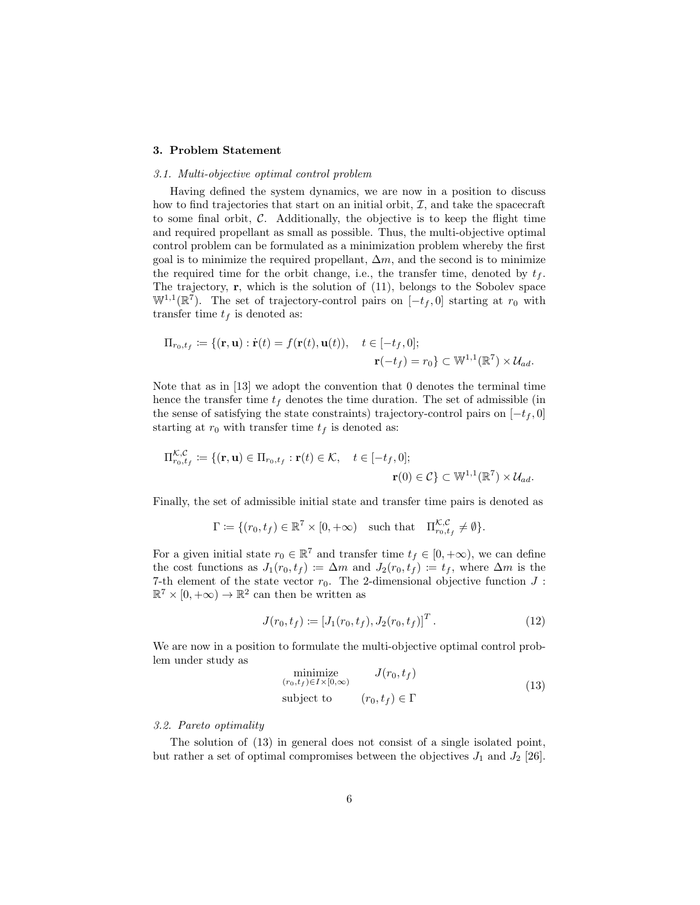#### 3. Problem Statement

#### *3.1. Multi-objective optimal control problem*

Having defined the system dynamics, we are now in a position to discuss how to find trajectories that start on an initial orbit,  $\mathcal{I}$ , and take the spacecraft to some final orbit,  $C$ . Additionally, the objective is to keep the flight time and required propellant as small as possible. Thus, the multi-objective optimal control problem can be formulated as a minimization problem whereby the first goal is to minimize the required propellant,  $\Delta m$ , and the second is to minimize the required time for the orbit change, i.e., the transfer time, denoted by  $t_f$ . The trajectory, r, which is the solution of (11), belongs to the Sobolev space  $\mathbb{W}^{1,1}(\mathbb{R}^7)$ . The set of trajectory-control pairs on  $[-t_f, 0]$  starting at  $r_0$  with transfer time  $t_f$  is denoted as:

$$
\Pi_{r_0,t_f} \coloneqq \{(\mathbf{r}, \mathbf{u}) : \dot{\mathbf{r}}(t) = f(\mathbf{r}(t), \mathbf{u}(t)), \quad t \in [-t_f, 0];
$$
\n
$$
\mathbf{r}(-t_f) = r_0\} \subset \mathbb{W}^{1,1}(\mathbb{R}^7) \times \mathcal{U}_{ad}.
$$

Note that as in [13] we adopt the convention that 0 denotes the terminal time hence the transfer time  $t_f$  denotes the time duration. The set of admissible (in the sense of satisfying the state constraints) trajectory-control pairs on  $[-t_f, 0]$ starting at  $r_0$  with transfer time  $t_f$  is denoted as:

$$
\Pi_{r_0,t_f}^{\mathcal{K},\mathcal{C}} := \{ (\mathbf{r}, \mathbf{u}) \in \Pi_{r_0,t_f} : \mathbf{r}(t) \in \mathcal{K}, \quad t \in [-t_f, 0];
$$
  

$$
\mathbf{r}(0) \in \mathcal{C} \} \subset \mathbb{W}^{1,1}(\mathbb{R}^7) \times \mathcal{U}_{ad}.
$$

Finally, the set of admissible initial state and transfer time pairs is denoted as

$$
\Gamma \coloneqq \{ (r_0, t_f) \in \mathbb{R}^7 \times [0, +\infty) \quad \text{such that} \quad \Pi_{r_0, t_f}^{\mathcal{K}, \mathcal{C}} \neq \emptyset \}.
$$

For a given initial state  $r_0 \in \mathbb{R}^7$  and transfer time  $t_f \in [0, +\infty)$ , we can define the cost functions as  $J_1(r_0, t_f) := \Delta m$  and  $J_2(r_0, t_f) := t_f$ , where  $\Delta m$  is the 7-th element of the state vector  $r_0$ . The 2-dimensional objective function  $J$ :  $\mathbb{R}^7 \times [0, +\infty) \to \mathbb{R}^2$  can then be written as

$$
J(r_0, t_f) := [J_1(r_0, t_f), J_2(r_0, t_f)]^T.
$$
 (12)

We are now in a position to formulate the multi-objective optimal control problem under study as

$$
\begin{array}{ll}\n\text{minimize} & J(r_0, t_f) \\
\text{(r_0, t_f) \in I \times [0, \infty)} & & \text{(r_0, t_f) \in \Gamma} \\
\text{subject to} & (r_0, t_f) \in \Gamma\n\end{array} \tag{13}
$$

#### *3.2. Pareto optimality*

The solution of (13) in general does not consist of a single isolated point, but rather a set of optimal compromises between the objectives  $J_1$  and  $J_2$  [26].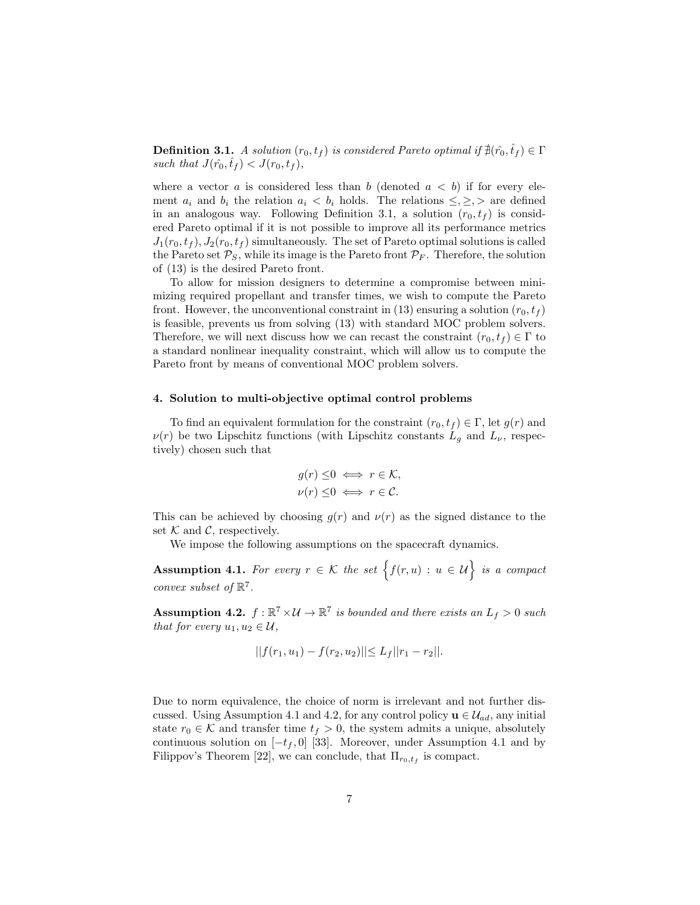**Definition 3.1.** *A solution*  $(r_0, t_f)$  *is considered Pareto optimal if*  $\sharp(r_0, t_f) \in \Gamma$ such that  $J(\hat{r}_0, \hat{t}_f) < J(r_0, t_f)$ ,

where a vector a is considered less than b (denoted  $a < b$ ) if for every element  $a_i$  and  $b_i$  the relation  $a_i < b_i$  holds. The relations  $\leq, \geq, \geq$  are defined in an analogous way. Following Definition 3.1, a solution  $(r_0, t_f)$  is considered Pareto optimal if it is not possible to improve all its performance metrics  $J_1(r_0, t_f), J_2(r_0, t_f)$  simultaneously. The set of Pareto optimal solutions is called the Pareto set  $P_S$ , while its image is the Pareto front  $P_F$ . Therefore, the solution of (13) is the desired Pareto front.

To allow for mission designers to determine a compromise between minimizing required propellant and transfer times, we wish to compute the Pareto front. However, the unconventional constraint in (13) ensuring a solution  $(r_0, t_f)$ is feasible, prevents us from solving (13) with standard MOC problem solvers. Therefore, we will next discuss how we can recast the constraint  $(r_0, t_f) \in \Gamma$  to a standard nonlinear inequality constraint, which will allow us to compute the Pareto front by means of conventional MOC problem solvers.

#### 4. Solution to multi-objective optimal control problems

To find an equivalent formulation for the constraint  $(r_0, t_f) \in \Gamma$ , let  $g(r)$  and  $\nu(r)$  be two Lipschitz functions (with Lipschitz constants  $L_g$  and  $L_{\nu}$ , respectively) chosen such that

$$
g(r) \leq 0 \iff r \in \mathcal{K},
$$
  

$$
\nu(r) \leq 0 \iff r \in \mathcal{C}.
$$

This can be achieved by choosing  $g(r)$  and  $\nu(r)$  as the signed distance to the set  $K$  and  $C$ , respectively.

We impose the following assumptions on the spacecraft dynamics.

Assumption 4.1. *For every*  $r \in \mathcal{K}$  the set  $\{f(r, u) : u \in \mathcal{U}\}\$ is a compact *convex subset of*  $\mathbb{R}^7$ *.* 

Assumption 4.2.  $f : \mathbb{R}^7 \times \mathcal{U} \to \mathbb{R}^7$  *is bounded and there exists an*  $L_f > 0$  *such that for every*  $u_1, u_2 \in \mathcal{U}$ ,

$$
||f(r_1, u_1) - f(r_2, u_2)|| \le L_f ||r_1 - r_2||.
$$

Due to norm equivalence, the choice of norm is irrelevant and not further discussed. Using Assumption 4.1 and 4.2, for any control policy  $\mathbf{u} \in \mathcal{U}_{ad}$ , any initial state  $r_0 \in \mathcal{K}$  and transfer time  $t_f > 0$ , the system admits a unique, absolutely continuous solution on  $[-t_f, 0]$  [33]. Moreover, under Assumption 4.1 and by Filippov's Theorem [22], we can conclude, that  $\Pi_{r_0,t_f}$  is compact.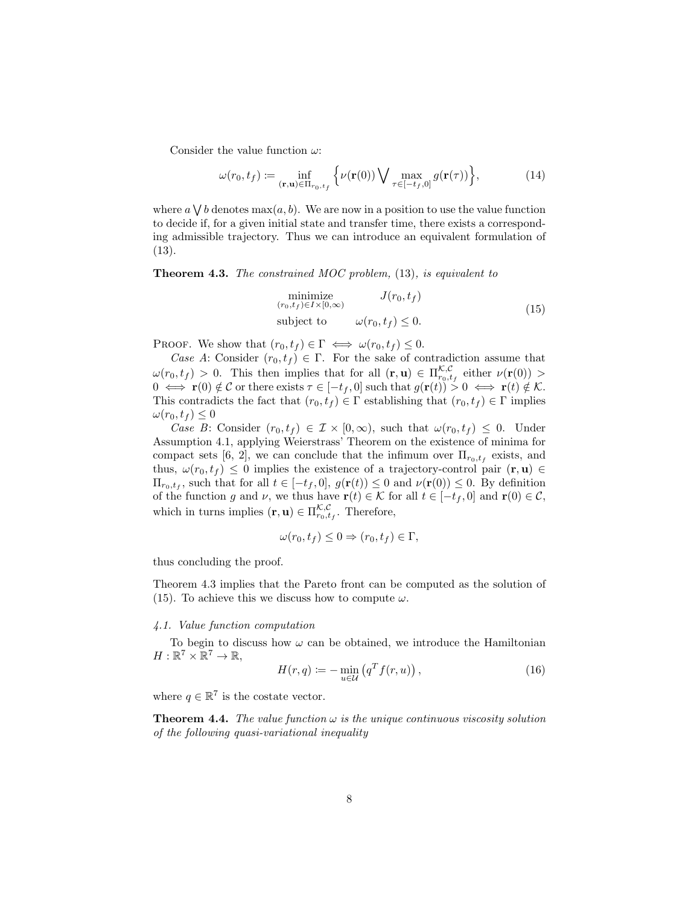Consider the value function  $\omega$ :

$$
\omega(r_0, t_f) := \inf_{(\mathbf{r}, \mathbf{u}) \in \Pi_{r_0, t_f}} \left\{ \nu(\mathbf{r}(0)) \bigvee \max_{\tau \in [-t_f, 0]} g(\mathbf{r}(\tau)) \right\},\tag{14}
$$

where  $a \bigvee b$  denotes  $\max(a, b)$ . We are now in a position to use the value function to decide if, for a given initial state and transfer time, there exists a corresponding admissible trajectory. Thus we can introduce an equivalent formulation of (13).

Theorem 4.3. *The constrained MOC problem,* (13)*, is equivalent to*

$$
\begin{array}{ll}\n\text{minimize} & J(r_0, t_f) \\
\text{(r_0, t_f) \in I \times [0, \infty)} & \text{(15)} \\
\text{subject to} & \omega(r_0, t_f) \leq 0.\n\end{array}
$$

PROOF. We show that  $(r_0, t_f) \in \Gamma \iff \omega(r_0, t_f) \leq 0$ .

*Case A*: Consider  $(r_0, t_f) \in \Gamma$ . For the sake of contradiction assume that  $\omega(r_0, t_f) > 0$ . This then implies that for all  $(\mathbf{r}, \mathbf{u}) \in \Pi_{r_0, t_f}^{\mathcal{K}, \mathcal{C}}$  either  $\nu(\mathbf{r}(0)) >$  $0 \iff \mathbf{r}(0) \notin \mathcal{C}$  or there exists  $\tau \in [-t_f, 0]$  such that  $g(\mathbf{r}(t)) > 0 \iff \mathbf{r}(t) \notin \mathcal{K}$ . This contradicts the fact that  $(r_0, t_f) \in \Gamma$  establishing that  $(r_0, t_f) \in \Gamma$  implies  $\omega(r_0, t_f) \leq 0$ 

*Case B*: Consider  $(r_0, t_f) \in \mathcal{I} \times [0, \infty)$ , such that  $\omega(r_0, t_f) \leq 0$ . Under Assumption 4.1, applying Weierstrass' Theorem on the existence of minima for compact sets [6, 2], we can conclude that the infimum over  $\Pi_{r_0,t_f}$  exists, and thus,  $\omega(r_0, t_f) \leq 0$  implies the existence of a trajectory-control pair  $(\mathbf{r}, \mathbf{u}) \in$  $\Pi_{r_0,t_f}$ , such that for all  $t \in [-t_f,0], g(\mathbf{r}(t)) \leq 0$  and  $\nu(\mathbf{r}(0)) \leq 0$ . By definition of the function g and v, we thus have  $\mathbf{r}(t) \in \mathcal{K}$  for all  $t \in [-t_f, 0]$  and  $\mathbf{r}(0) \in \mathcal{C}$ , which in turns implies  $(\mathbf{r}, \mathbf{u}) \in \Pi_{r_0, t_f}^{\mathcal{K}, \mathcal{C}}$ . Therefore,

$$
\omega(r_0, t_f) \leq 0 \Rightarrow (r_0, t_f) \in \Gamma,
$$

thus concluding the proof.

Theorem 4.3 implies that the Pareto front can be computed as the solution of (15). To achieve this we discuss how to compute  $\omega$ .

#### *4.1. Value function computation*

To begin to discuss how  $\omega$  can be obtained, we introduce the Hamiltonian  $H:\mathbb{R}^7\times\mathbb{R}^7\to\mathbb{R},$ 

$$
H(r,q) := -\min_{u \in \mathcal{U}} \left( q^T f(r,u) \right),\tag{16}
$$

where  $q \in \mathbb{R}^7$  is the costate vector.

**Theorem 4.4.** *The value function*  $\omega$  *is the unique continuous viscosity solution of the following quasi-variational inequality*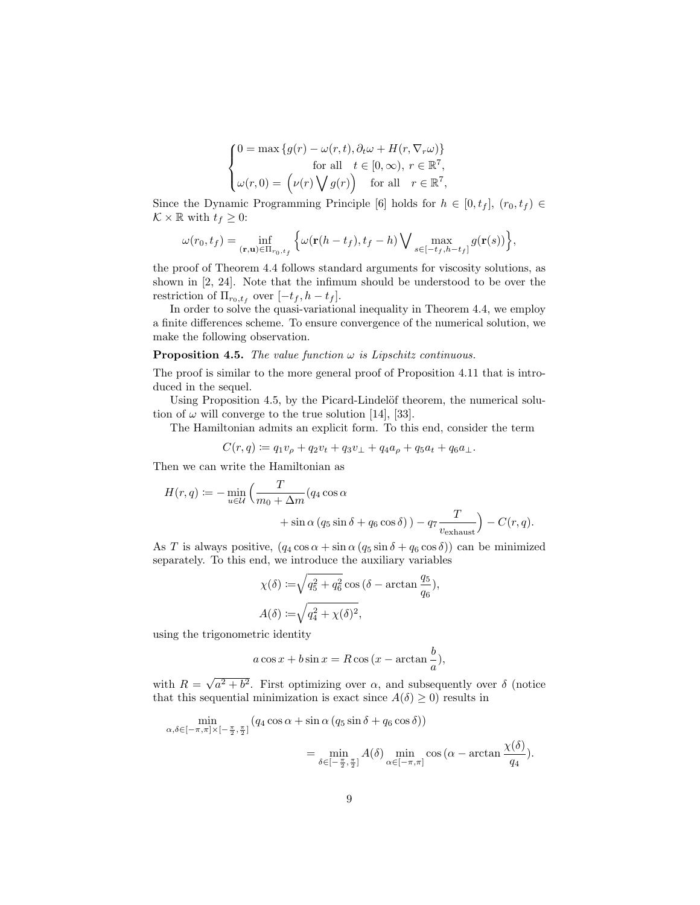$$
\begin{cases}\n0 = \max \{ g(r) - \omega(r, t), \partial_t \omega + H(r, \nabla_r \omega) \} \\
\text{for all} \quad t \in [0, \infty), \ r \in \mathbb{R}^7, \\
\omega(r, 0) = (\nu(r) \bigvee g(r)) \quad \text{for all} \quad r \in \mathbb{R}^7,\n\end{cases}
$$

Since the Dynamic Programming Principle [6] holds for  $h \in [0, t_f]$ ,  $(r_0, t_f) \in$  $\mathcal{K} \times \mathbb{R}$  with  $t_f \geq 0$ :

$$
\omega(r_0, t_f) = \inf_{(\mathbf{r}, \mathbf{u}) \in \Pi_{r_0, t_f}} \left\{ \omega(\mathbf{r}(h - t_f), t_f - h) \bigvee \max_{s \in [-t_f, h - t_f]} g(\mathbf{r}(s)) \right\},\
$$

the proof of Theorem 4.4 follows standard arguments for viscosity solutions, as shown in [2, 24]. Note that the infimum should be understood to be over the restriction of  $\Pi_{r_0,t_f}$  over  $[-t_f, h-t_f]$ .

In order to solve the quasi-variational inequality in Theorem 4.4, we employ a finite differences scheme. To ensure convergence of the numerical solution, we make the following observation.

#### **Proposition 4.5.** *The value function*  $\omega$  *is Lipschitz continuous.*

The proof is similar to the more general proof of Proposition 4.11 that is introduced in the sequel.

Using Proposition 4.5, by the Picard-Lindelöf theorem, the numerical solution of  $\omega$  will converge to the true solution [14], [33].

The Hamiltonian admits an explicit form. To this end, consider the term

$$
C(r, q) \coloneqq q_1 v_{\rho} + q_2 v_t + q_3 v_{\perp} + q_4 a_{\rho} + q_5 a_t + q_6 a_{\perp}.
$$

Then we can write the Hamiltonian as

$$
H(r,q) := -\min_{u \in \mathcal{U}} \left( \frac{T}{m_0 + \Delta m} (q_4 \cos \alpha + \sin \alpha (q_5 \sin \delta + q_6 \cos \delta)) - q_7 \frac{T}{v_{\text{exhaust}}} \right) - C(r,q).
$$

As T is always positive,  $(q_4 \cos \alpha + \sin \alpha (q_5 \sin \delta + q_6 \cos \delta))$  can be minimized separately. To this end, we introduce the auxiliary variables

$$
\chi(\delta) := \sqrt{q_5^2 + q_6^2} \cos (\delta - \arctan \frac{q_5}{q_6}),
$$
  

$$
A(\delta) := \sqrt{q_4^2 + \chi(\delta)^2},
$$

using the trigonometric identity

$$
a\cos x + b\sin x = R\cos\left(x - \arctan\frac{b}{a}\right),\,
$$

with  $R = \sqrt{a^2 + b^2}$ . First optimizing over  $\alpha$ , and subsequently over  $\delta$  (notice that this sequential minimization is exact since  $A(\delta) \geq 0$ ) results in

$$
\min_{\alpha,\delta\in[-\pi,\pi]\times[-\frac{\pi}{2},\frac{\pi}{2}]}(q_4\cos\alpha+\sin\alpha(q_5\sin\delta+q_6\cos\delta))
$$
\n
$$
=\min_{\delta\in[-\frac{\pi}{2},\frac{\pi}{2}]}A(\delta)\min_{\alpha\in[-\pi,\pi]}\cos(\alpha-\arctan\frac{\chi(\delta)}{q_4}).
$$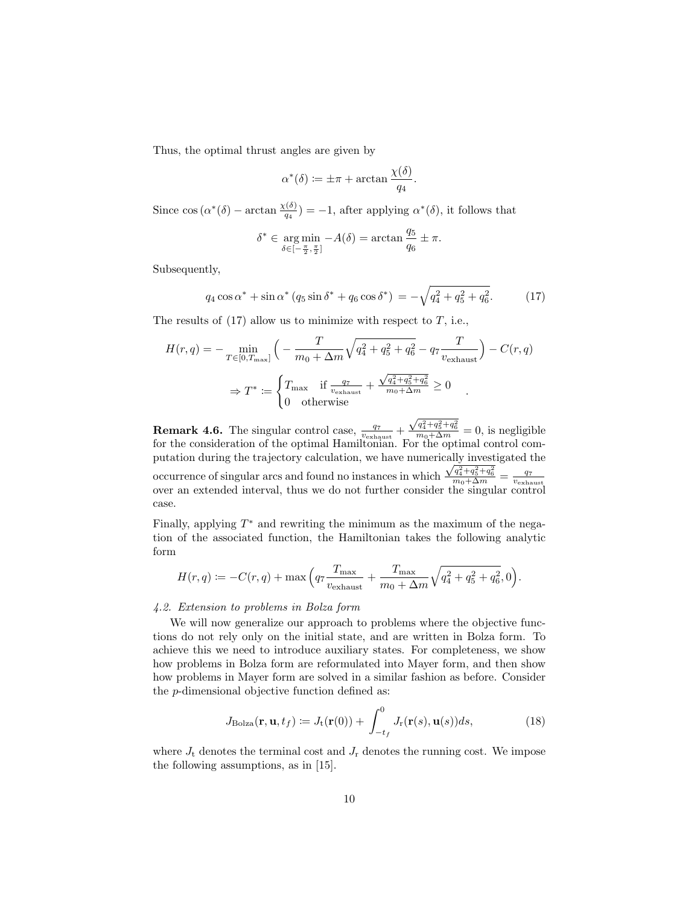Thus, the optimal thrust angles are given by

$$
\alpha^*(\delta) \coloneqq \pm \pi + \arctan \frac{\chi(\delta)}{q_4}.
$$

Since  $\cos(\alpha^*(\delta) - \arctan \frac{\chi(\delta)}{q_4}) = -1$ , after applying  $\alpha^*(\delta)$ , it follows that

$$
\delta^* \in \underset{\delta \in [-\frac{\pi}{2}, \frac{\pi}{2}]}{\arg \min} -A(\delta) = \arctan \frac{q_5}{q_6} \pm \pi.
$$

Subsequently,

$$
q_4 \cos \alpha^* + \sin \alpha^* (q_5 \sin \delta^* + q_6 \cos \delta^*) = -\sqrt{q_4^2 + q_5^2 + q_6^2}.
$$
 (17)

The results of  $(17)$  allow us to minimize with respect to T, i.e.,

$$
H(r,q) = -\min_{T \in [0,T_{\text{max}}]} \left( -\frac{T}{m_0 + \Delta m} \sqrt{q_4^2 + q_5^2 + q_6^2} - q_7 \frac{T}{v_{\text{exhaust}}} \right) - C(r,q)
$$
  

$$
\Rightarrow T^* := \begin{cases} T_{\text{max}} & \text{if } \frac{q_7}{v_{\text{exhaust}}} + \frac{\sqrt{q_4^2 + q_5^2 + q_6^2}}{m_0 + \Delta m} \ge 0 \\ 0 & \text{otherwise} \end{cases}
$$

**Remark 4.6.** The singular control case,  $\frac{q_7}{v_{\text{exhaust}}}$  +  $\frac{\sqrt{q_4^2+q_5^2+q_6^2}}{m_0+\Delta m}=0$ , is negligible for the consideration of the optimal Hamiltonian. For the optimal control computation during the trajectory calculation, we have numerically investigated the occurrence of singular arcs and found no instances in which occurrence of singular arcs and found no instances in which  $\frac{\sqrt{q_1^2+q_5^2+q_6^2}}{m_0+\Delta m} = \frac{q_7}{v_{\text{exhaust}}}$ <br>over an extended interval, thus we do not further consider the singular control case.

Finally, applying  $T^*$  and rewriting the minimum as the maximum of the negation of the associated function, the Hamiltonian takes the following analytic form

$$
H(r,q) := -C(r,q) + \max\left(q_7 \frac{T_{\text{max}}}{v_{\text{exhaust}}} + \frac{T_{\text{max}}}{m_0 + \Delta m} \sqrt{q_4^2 + q_5^2 + q_6^2}, 0\right).
$$

#### *4.2. Extension to problems in Bolza form*

We will now generalize our approach to problems where the objective functions do not rely only on the initial state, and are written in Bolza form. To achieve this we need to introduce auxiliary states. For completeness, we show how problems in Bolza form are reformulated into Mayer form, and then show how problems in Mayer form are solved in a similar fashion as before. Consider the p-dimensional objective function defined as:

$$
J_{\text{Bolza}}(\mathbf{r}, \mathbf{u}, t_f) := J_{\text{t}}(\mathbf{r}(0)) + \int_{-t_f}^{0} J_{\text{r}}(\mathbf{r}(s), \mathbf{u}(s)) ds,
$$
 (18)

where  $J_t$  denotes the terminal cost and  $J_r$  denotes the running cost. We impose the following assumptions, as in [15].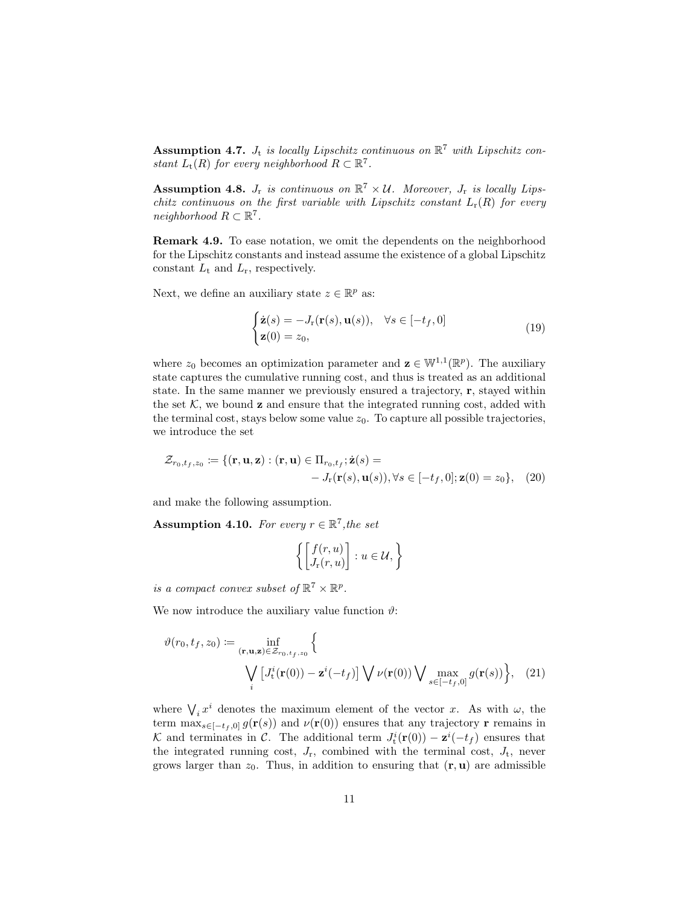Assumption 4.7.  $J_t$  is locally Lipschitz continuous on  $\mathbb{R}^7$  with Lipschitz con*stant*  $L_t(R)$  *for every neighborhood*  $R \subset \mathbb{R}^7$ *.* 

Assumption 4.8.  $J_r$  *is continuous on*  $\mathbb{R}^7 \times \mathcal{U}$ . Moreover,  $J_r$  *is locally Lipschitz continuous on the first variable with Lipschitz constant*  $L_r(R)$  *for every neighborhood*  $R \subset \mathbb{R}^7$ .

Remark 4.9. To ease notation, we omit the dependents on the neighborhood for the Lipschitz constants and instead assume the existence of a global Lipschitz constant  $L_t$  and  $L_r$ , respectively.

Next, we define an auxiliary state  $z \in \mathbb{R}^p$  as:

$$
\begin{cases} \dot{\mathbf{z}}(s) = -J_{\mathbf{r}}(\mathbf{r}(s), \mathbf{u}(s)), & \forall s \in [-t_f, 0] \\ \mathbf{z}(0) = z_0, \end{cases}
$$
(19)

where  $z_0$  becomes an optimization parameter and  $\mathbf{z} \in \mathbb{W}^{1,1}(\mathbb{R}^p)$ . The auxiliary state captures the cumulative running cost, and thus is treated as an additional state. In the same manner we previously ensured a trajectory, r, stayed within the set  $K$ , we bound **z** and ensure that the integrated running cost, added with the terminal cost, stays below some value  $z_0$ . To capture all possible trajectories, we introduce the set

$$
\mathcal{Z}_{r_0,t_f,z_0} := \{ (\mathbf{r}, \mathbf{u}, \mathbf{z}) : (\mathbf{r}, \mathbf{u}) \in \Pi_{r_0,t_f}; \dot{\mathbf{z}}(s) = \\ -J_{\mathbf{r}}(\mathbf{r}(s), \mathbf{u}(s)), \forall s \in [-t_f, 0]; \mathbf{z}(0) = z_0 \}, \quad (20)
$$

and make the following assumption.

Assumption 4.10. For every  $r \in \mathbb{R}^7$ , the set

$$
\left\{ \begin{bmatrix} f(r,u) \\ J_r(r,u) \end{bmatrix} : u \in \mathcal{U}, \right\}
$$

*is a compact convex subset of*  $\mathbb{R}^7 \times \mathbb{R}^p$ .

We now introduce the auxiliary value function  $\vartheta$ :

$$
\vartheta(r_0, t_f, z_0) := \inf_{(\mathbf{r}, \mathbf{u}, \mathbf{z}) \in \mathcal{Z}_{r_0, t_f, z_0}} \left\{ \frac{\partial \varphi(r_0, t_f, z_0)}{\partial \mathbf{r}} \left[ J_t^i(\mathbf{r}(0)) - \mathbf{z}^i(-t_f) \right] \bigvee \nu(\mathbf{r}(0)) \bigvee \max_{s \in [-t_f, 0]} g(\mathbf{r}(s)) \right\}, \quad (21)
$$

where  $\bigvee_i x^i$  denotes the maximum element of the vector x. As with  $\omega$ , the term  $\max_{s\in[-t_f,0]} g(\mathbf{r}(s))$  and  $\nu(\mathbf{r}(0))$  ensures that any trajectory **r** remains in K and terminates in C. The additional term  $J_t^i(\mathbf{r}(0)) - \mathbf{z}^i(-t_f)$  ensures that the integrated running cost,  $J_r$ , combined with the terminal cost,  $J_t$ , never grows larger than  $z_0$ . Thus, in addition to ensuring that  $(\mathbf{r}, \mathbf{u})$  are admissible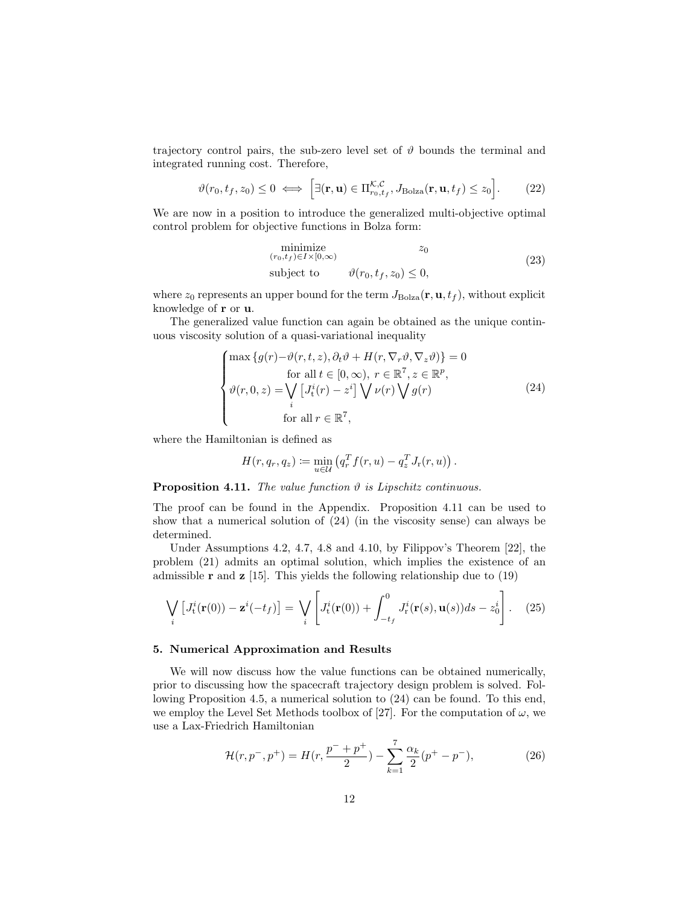trajectory control pairs, the sub-zero level set of  $\vartheta$  bounds the terminal and integrated running cost. Therefore,

$$
\vartheta(r_0, t_f, z_0) \le 0 \iff \left[\exists (\mathbf{r}, \mathbf{u}) \in \Pi_{r_0, t_f}^{\mathcal{K}, \mathcal{C}}, J_{\text{Bolza}}(\mathbf{r}, \mathbf{u}, t_f) \le z_0\right].\tag{22}
$$

We are now in a position to introduce the generalized multi-objective optimal control problem for objective functions in Bolza form:

$$
\begin{array}{ll}\n\text{minimize} & z_0\\ \n(r_0, t_f) \in I \times [0, \infty) & \text{(23)}\\ \n\text{subject to} & \vartheta(r_0, t_f, z_0) \le 0,\n\end{array}
$$

where  $z_0$  represents an upper bound for the term  $J_{\text{Bolza}}(\mathbf{r}, \mathbf{u}, t_f)$ , without explicit knowledge of r or u.

The generalized value function can again be obtained as the unique continuous viscosity solution of a quasi-variational inequality

$$
\begin{cases}\n\max \{g(r) - \vartheta(r, t, z), \partial_t \vartheta + H(r, \nabla_r \vartheta, \nabla_z \vartheta)\} = 0 \\
\text{for all } t \in [0, \infty), r \in \mathbb{R}^7, z \in \mathbb{R}^p, \\
\vartheta(r, 0, z) = \bigvee_i \left[J_i^i(r) - z^i\right] \bigvee \nu(r) \bigvee g(r) \\
i \text{for all } r \in \mathbb{R}^7,\n\end{cases} \tag{24}
$$

where the Hamiltonian is defined as

$$
H(r, q_r, q_z) \coloneqq \min_{u \in \mathcal{U}} \left( q_r^T f(r, u) - q_z^T J_r(r, u) \right).
$$

**Proposition 4.11.** *The value function*  $\vartheta$  *is Lipschitz continuous.* 

The proof can be found in the Appendix. Proposition 4.11 can be used to show that a numerical solution of (24) (in the viscosity sense) can always be determined.

Under Assumptions 4.2, 4.7, 4.8 and 4.10, by Filippov's Theorem [22], the problem (21) admits an optimal solution, which implies the existence of an admissible **r** and **z** [15]. This yields the following relationship due to  $(19)$ 

$$
\bigvee_i \left[ J_t^i(\mathbf{r}(0)) - \mathbf{z}^i(-t_f) \right] = \bigvee_i \left[ J_t^i(\mathbf{r}(0)) + \int_{-t_f}^0 J_r^i(\mathbf{r}(s), \mathbf{u}(s)) ds - z_0^i \right]. \tag{25}
$$

### 5. Numerical Approximation and Results

We will now discuss how the value functions can be obtained numerically, prior to discussing how the spacecraft trajectory design problem is solved. Following Proposition 4.5, a numerical solution to (24) can be found. To this end, we employ the Level Set Methods toolbox of [27]. For the computation of  $\omega$ , we use a Lax-Friedrich Hamiltonian

$$
\mathcal{H}(r, p^-, p^+) = H(r, \frac{p^- + p^+}{2}) - \sum_{k=1}^7 \frac{\alpha_k}{2} (p^+ - p^-),\tag{26}
$$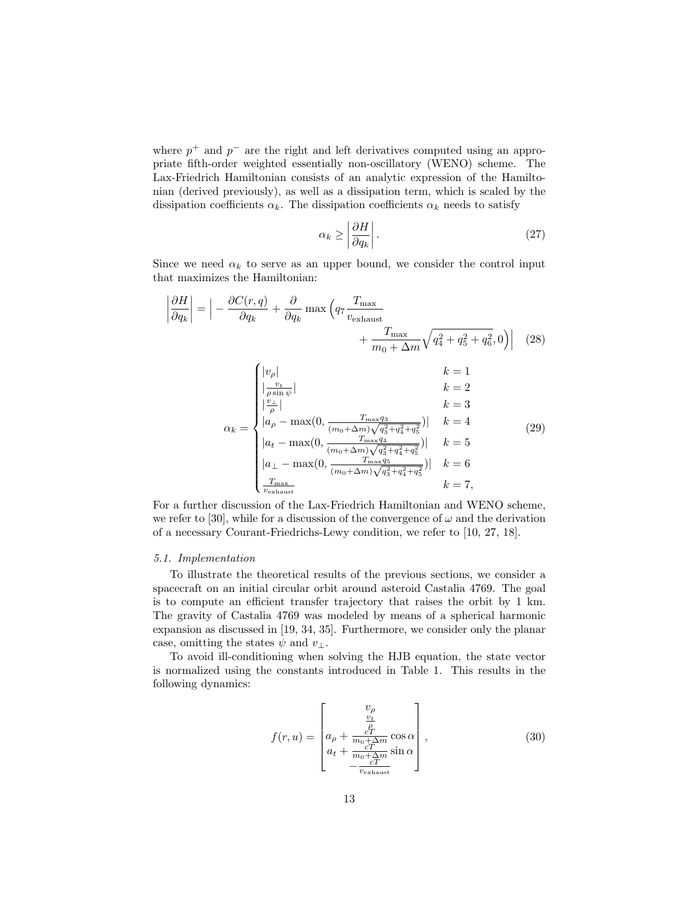where  $p^+$  and  $p^-$  are the right and left derivatives computed using an appropriate fifth-order weighted essentially non-oscillatory (WENO) scheme. The Lax-Friedrich Hamiltonian consists of an analytic expression of the Hamiltonian (derived previously), as well as a dissipation term, which is scaled by the dissipation coefficients  $\alpha_k$ . The dissipation coefficients  $\alpha_k$  needs to satisfy

$$
\alpha_k \ge \left| \frac{\partial H}{\partial q_k} \right|.
$$
\n<sup>(27)</sup>

Since we need  $\alpha_k$  to serve as an upper bound, we consider the control input that maximizes the Hamiltonian:

$$
\left|\frac{\partial H}{\partial q_k}\right| = \left|-\frac{\partial C(r,q)}{\partial q_k} + \frac{\partial}{\partial q_k} \max\left(q_7 \frac{T_{\text{max}}}{v_{\text{exhaust}}} + \frac{T_{\text{max}}}{m_0 + \Delta m} \sqrt{q_4^2 + q_5^2 + q_6^2}, 0\right)\right| \quad (28)
$$

$$
+ \frac{T_{\text{max}}}{m_0 + \Delta m} \sqrt{q_4^2 + q_5^2 + q_6^2}, 0\right)| \quad (28)
$$

$$
k = 1
$$

$$
k = 2
$$

$$
\left|\frac{v_+}{\rho \sin \psi}\right| \qquad k = 3
$$

$$
a_k = \begin{cases} \left|\frac{v_\rho}{\rho}\right| & k = 1\\ \left|\frac{v_+}{\rho}\right| & k = 3\\ \left|a_\rho - \max(0, \frac{T_{\text{max}}q_3}{(m_0 + \Delta m)} \sqrt{q_3^2 + q_4^2 + q_5^2})\right| & k = 4\\ \left|a_\perp - \max(0, \frac{T_{\text{max}}q_5}{(m_0 + \Delta m)} \sqrt{q_3^2 + q_4^2 + q_5^2}\right)\right| \qquad k = 6\\ \frac{T_{\text{max}}}{v_{\text{exhaust}}} & k = 7,
$$

For a further discussion of the Lax-Friedrich Hamiltonian and WENO scheme, we refer to [30], while for a discussion of the convergence of  $\omega$  and the derivation of a necessary Courant-Friedrichs-Lewy condition, we refer to [10, 27, 18].

#### *5.1. Implementation*

To illustrate the theoretical results of the previous sections, we consider a spacecraft on an initial circular orbit around asteroid Castalia 4769. The goal is to compute an efficient transfer trajectory that raises the orbit by 1 km. The gravity of Castalia 4769 was modeled by means of a spherical harmonic expansion as discussed in [19, 34, 35]. Furthermore, we consider only the planar case, omitting the states  $\psi$  and  $v_{\perp}$ .

To avoid ill-conditioning when solving the HJB equation, the state vector is normalized using the constants introduced in Table 1. This results in the following dynamics:

$$
f(r, u) = \begin{bmatrix} v_{\rho} \\ \frac{v_t}{r} \\ a_{\rho} + \frac{c}{m_0 + \Delta m} \cos \alpha \\ a_t + \frac{c}{m_0 + \Delta m} \sin \alpha \\ -\frac{c}{v_{\text{exhaust}}}\end{bmatrix},
$$
(30)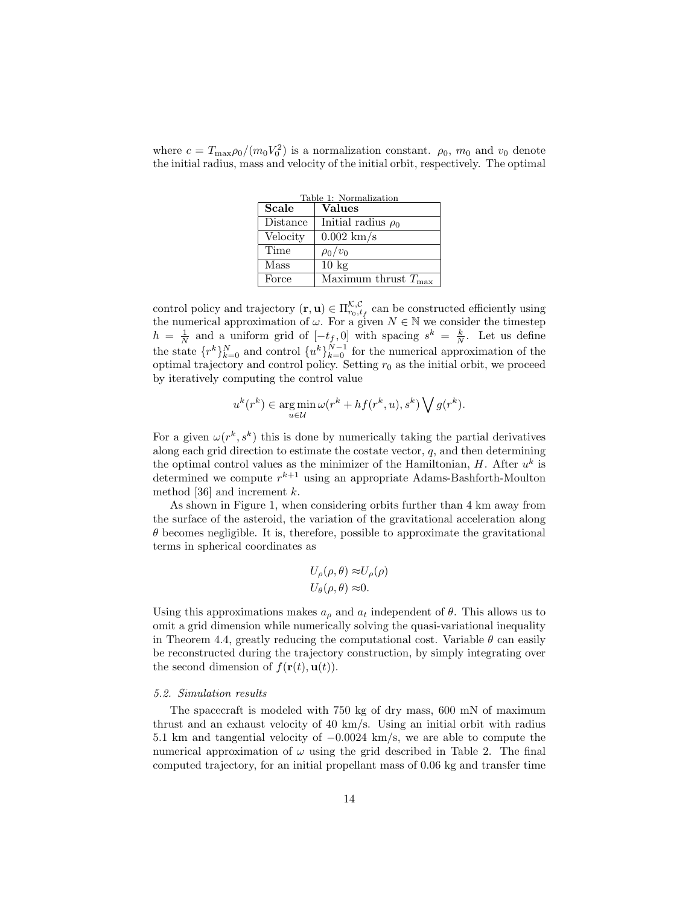where  $c = T_{\text{max}} \rho_0 / (m_0 V_0^2)$  is a normalization constant.  $\rho_0$ ,  $m_0$  and  $v_0$  denote the initial radius, mass and velocity of the initial orbit, respectively. The optimal

| Table 1: Normalization |                                 |  |  |  |  |
|------------------------|---------------------------------|--|--|--|--|
| Scale                  | <b>Values</b>                   |  |  |  |  |
| Distance               | Initial radius $\rho_0$         |  |  |  |  |
| Velocity               | $0.002 \text{ km/s}$            |  |  |  |  |
| Time                   | $\rho_0/v_0$                    |  |  |  |  |
| Mass                   | $10 \text{ kg}$                 |  |  |  |  |
| Force                  | Maximum thrust $T_{\text{max}}$ |  |  |  |  |

control policy and trajectory  $(\mathbf{r}, \mathbf{u}) \in \Pi_{r_0, t_f}^{\mathcal{K}, \mathcal{C}}$  can be constructed efficiently using the numerical approximation of  $\omega$ . For a given  $N \in \mathbb{N}$  we consider the timestep  $h = \frac{1}{N}$  and a uniform grid of  $[-t_f, 0]$  with spacing  $s^k = \frac{k}{N}$ . Let us define the state  $\{r^k\}_{k=0}^N$  and control  $\{u^k\}_{k=0}^{N-1}$  for the numerical approximation of the optimal trajectory and control policy. Setting  $r_0$  as the initial orbit, we proceed by iteratively computing the control value

$$
u^{k}(r^{k}) \in \operatorname*{arg\,min}_{u \in \mathcal{U}} \omega(r^{k} + h f(r^{k}, u), s^{k}) \bigvee g(r^{k}).
$$

For a given  $\omega(r^k, s^k)$  this is done by numerically taking the partial derivatives along each grid direction to estimate the costate vector,  $q$ , and then determining the optimal control values as the minimizer of the Hamiltonian,  $H$ . After  $u<sup>k</sup>$  is determined we compute  $r^{k+1}$  using an appropriate Adams-Bashforth-Moulton method [36] and increment  $k$ .

As shown in Figure 1, when considering orbits further than 4 km away from the surface of the asteroid, the variation of the gravitational acceleration along  $\theta$  becomes negligible. It is, therefore, possible to approximate the gravitational terms in spherical coordinates as

$$
U_{\rho}(\rho,\theta) \approx U_{\rho}(\rho)
$$
  

$$
U_{\theta}(\rho,\theta) \approx 0.
$$

Using this approximations makes  $a_{\rho}$  and  $a_t$  independent of  $\theta$ . This allows us to omit a grid dimension while numerically solving the quasi-variational inequality in Theorem 4.4, greatly reducing the computational cost. Variable  $\theta$  can easily be reconstructed during the trajectory construction, by simply integrating over the second dimension of  $f(\mathbf{r}(t), \mathbf{u}(t)).$ 

## *5.2. Simulation results*

The spacecraft is modeled with 750 kg of dry mass, 600 mN of maximum thrust and an exhaust velocity of 40 km/s. Using an initial orbit with radius 5.1 km and tangential velocity of −0.0024 km/s, we are able to compute the numerical approximation of  $\omega$  using the grid described in Table 2. The final computed trajectory, for an initial propellant mass of 0.06 kg and transfer time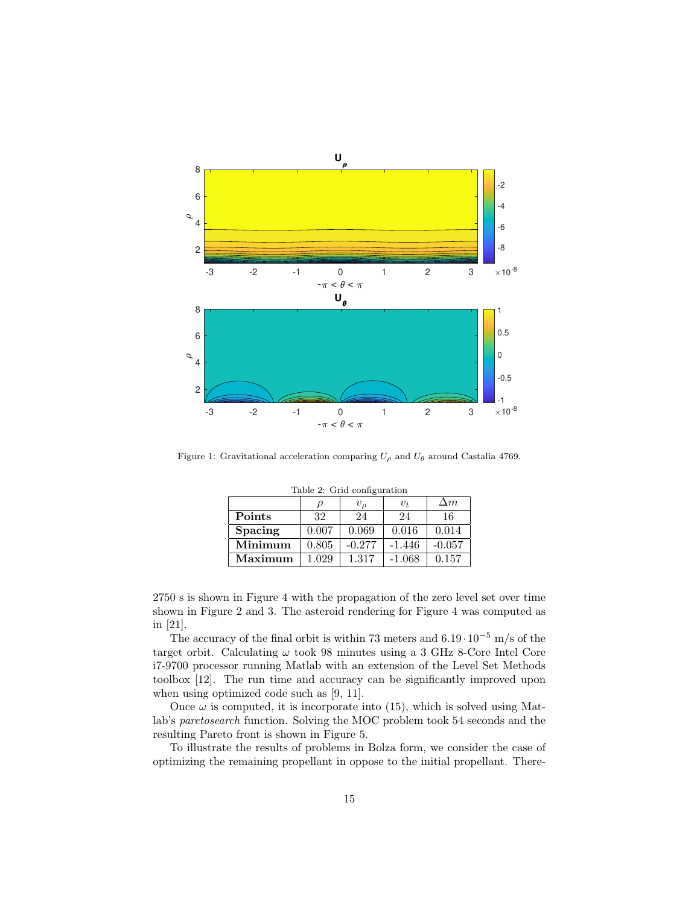

Figure 1: Gravitational acceleration comparing  $U_{\rho}$  and  $U_{\theta}$  around Castalia 4769.

| $10010$ $-1$ $0110$ $00111$ $-001$ |        |                |          |            |  |  |  |
|------------------------------------|--------|----------------|----------|------------|--|--|--|
|                                    | $\rho$ | v <sub>o</sub> | $v_t$    | $\Delta m$ |  |  |  |
| Points                             | 32     | 24             | 24       | 16         |  |  |  |
| <b>Spacing</b>                     | 0.007  | 0.069          | 0.016    | 0.014      |  |  |  |
| Minimum                            | 0.805  | $-0.277$       | $-1.446$ | $-0.057$   |  |  |  |
| Maximum                            | 1.029  | 1.317          | $-1.068$ | 0.157      |  |  |  |

Table 2: Grid configuration

2750 s is shown in Figure 4 with the propagation of the zero level set over time shown in Figure 2 and 3. The asteroid rendering for Figure 4 was computed as in [21].

The accuracy of the final orbit is within 73 meters and  $6.19 \cdot 10^{-5}$  m/s of the target orbit. Calculating  $\omega$  took 98 minutes using a 3 GHz 8-Core Intel Core i7-9700 processor running Matlab with an extension of the Level Set Methods toolbox [12]. The run time and accuracy can be significantly improved upon when using optimized code such as [9, 11].

Once  $\omega$  is computed, it is incorporate into (15), which is solved using Matlab's *paretosearch* function. Solving the MOC problem took 54 seconds and the resulting Pareto front is shown in Figure 5.

To illustrate the results of problems in Bolza form, we consider the case of optimizing the remaining propellant in oppose to the initial propellant. There-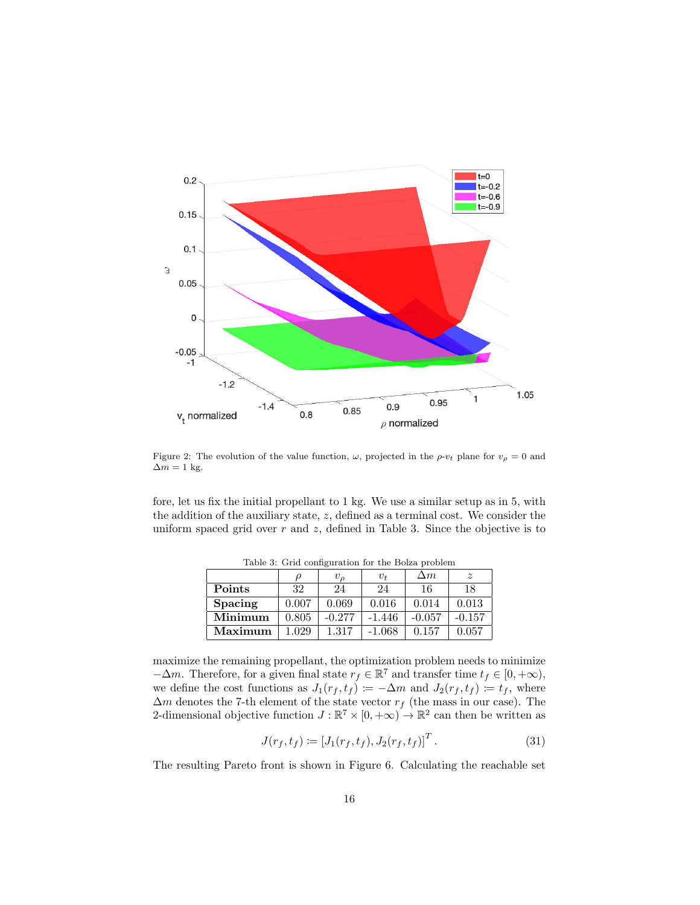

Figure 2: The evolution of the value function,  $\omega$ , projected in the  $\rho$ - $v_t$  plane for  $v_\rho = 0$  and  $\Delta m=1$  kg.

fore, let us fix the initial propellant to 1 kg. We use a similar setup as in 5, with the addition of the auxiliary state, z, defined as a terminal cost. We consider the uniform spaced grid over  $r$  and  $z$ , defined in Table 3. Since the objective is to

|                |       | $v_{\rho}$ | $v_t$    | $\Delta m$ | $\boldsymbol{z}$ |
|----------------|-------|------------|----------|------------|------------------|
| Points         | 32    | 24         | 24       | 16         | 18               |
| <b>Spacing</b> | 0.007 | 0.069      | 0.016    | 0.014      | 0.013            |
| Minimum        | 0.805 | $-0.277$   | $-1.446$ | $-0.057$   | $-0.157$         |
| Maximum        | 1.029 | 1.317      | $-1.068$ | 0.157      | 0.057            |

Table 3: Grid configuration for the Bolza problem

maximize the remaining propellant, the optimization problem needs to minimize  $-\Delta m$ . Therefore, for a given final state  $r_f \in \mathbb{R}^7$  and transfer time  $t_f \in [0, +\infty)$ , we define the cost functions as  $J_1(r_f, t_f) := -\Delta m$  and  $J_2(r_f, t_f) := t_f$ , where  $\Delta m$  denotes the 7-th element of the state vector  $r_f$  (the mass in our case). The 2-dimensional objective function  $J : \mathbb{R}^7 \times [0, +\infty) \to \mathbb{R}^2$  can then be written as

$$
J(r_f, t_f) := [J_1(r_f, t_f), J_2(r_f, t_f)]^T.
$$
 (31)

The resulting Pareto front is shown in Figure 6. Calculating the reachable set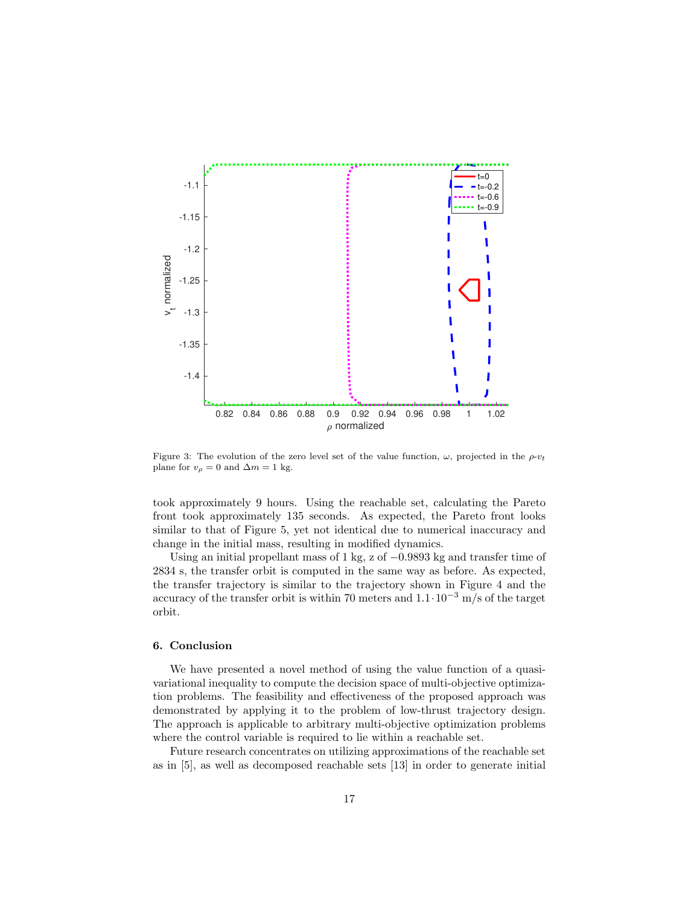

Figure 3: The evolution of the zero level set of the value function,  $\omega$ , projected in the  $\rho$ - $v_t$ plane for  $v_{\rho} = 0$  and  $\Delta m = 1$  kg.

took approximately 9 hours. Using the reachable set, calculating the Pareto front took approximately 135 seconds. As expected, the Pareto front looks similar to that of Figure 5, yet not identical due to numerical inaccuracy and change in the initial mass, resulting in modified dynamics.

Using an initial propellant mass of 1 kg, z of  $-0.9893$  kg and transfer time of 2834 s, the transfer orbit is computed in the same way as before. As expected, the transfer trajectory is similar to the trajectory shown in Figure 4 and the accuracy of the transfer orbit is within 70 meters and  $1.1 \cdot 10^{-3}$  m/s of the target orbit.

## 6. Conclusion

We have presented a novel method of using the value function of a quasivariational inequality to compute the decision space of multi-objective optimization problems. The feasibility and effectiveness of the proposed approach was demonstrated by applying it to the problem of low-thrust trajectory design. The approach is applicable to arbitrary multi-objective optimization problems where the control variable is required to lie within a reachable set.

Future research concentrates on utilizing approximations of the reachable set as in [5], as well as decomposed reachable sets [13] in order to generate initial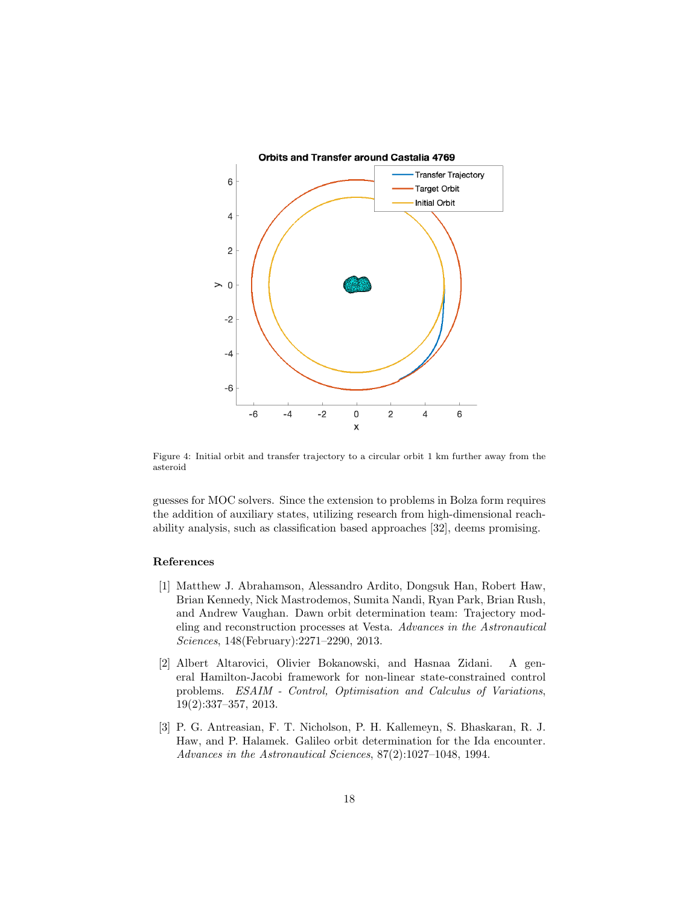

Figure 4: Initial orbit and transfer trajectory to a circular orbit 1 km further away from the asteroid

guesses for MOC solvers. Since the extension to problems in Bolza form requires the addition of auxiliary states, utilizing research from high-dimensional reachability analysis, such as classification based approaches [32], deems promising.

## References

- [1] Matthew J. Abrahamson, Alessandro Ardito, Dongsuk Han, Robert Haw, Brian Kennedy, Nick Mastrodemos, Sumita Nandi, Ryan Park, Brian Rush, and Andrew Vaughan. Dawn orbit determination team: Trajectory modeling and reconstruction processes at Vesta. *Advances in the Astronautical Sciences*, 148(February):2271–2290, 2013.
- [2] Albert Altarovici, Olivier Bokanowski, and Hasnaa Zidani. A general Hamilton-Jacobi framework for non-linear state-constrained control problems. *ESAIM - Control, Optimisation and Calculus of Variations*, 19(2):337–357, 2013.
- [3] P. G. Antreasian, F. T. Nicholson, P. H. Kallemeyn, S. Bhaskaran, R. J. Haw, and P. Halamek. Galileo orbit determination for the Ida encounter. *Advances in the Astronautical Sciences*, 87(2):1027–1048, 1994.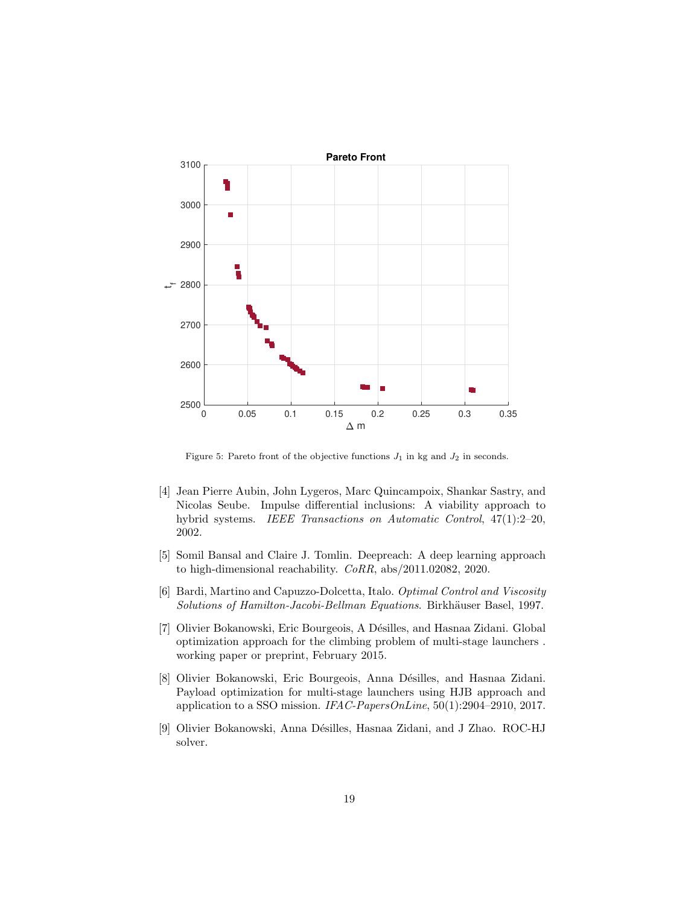

Figure 5: Pareto front of the objective functions  $J_1$  in kg and  $J_2$  in seconds.

- [4] Jean Pierre Aubin, John Lygeros, Marc Quincampoix, Shankar Sastry, and Nicolas Seube. Impulse differential inclusions: A viability approach to hybrid systems. *IEEE Transactions on Automatic Control*, 47(1):2–20, 2002.
- [5] Somil Bansal and Claire J. Tomlin. Deepreach: A deep learning approach to high-dimensional reachability. *CoRR*, abs/2011.02082, 2020.
- [6] Bardi, Martino and Capuzzo-Dolcetta, Italo. *Optimal Control and Viscosity Solutions of Hamilton-Jacobi-Bellman Equations*. Birkh¨auser Basel, 1997.
- [7] Olivier Bokanowski, Eric Bourgeois, A Désilles, and Hasnaa Zidani. Global optimization approach for the climbing problem of multi-stage launchers . working paper or preprint, February 2015.
- [8] Olivier Bokanowski, Eric Bourgeois, Anna Désilles, and Hasnaa Zidani. Payload optimization for multi-stage launchers using HJB approach and application to a SSO mission. *IFAC-PapersOnLine*, 50(1):2904–2910, 2017.
- [9] Olivier Bokanowski, Anna Désilles, Hasnaa Zidani, and J Zhao. ROC-HJ solver.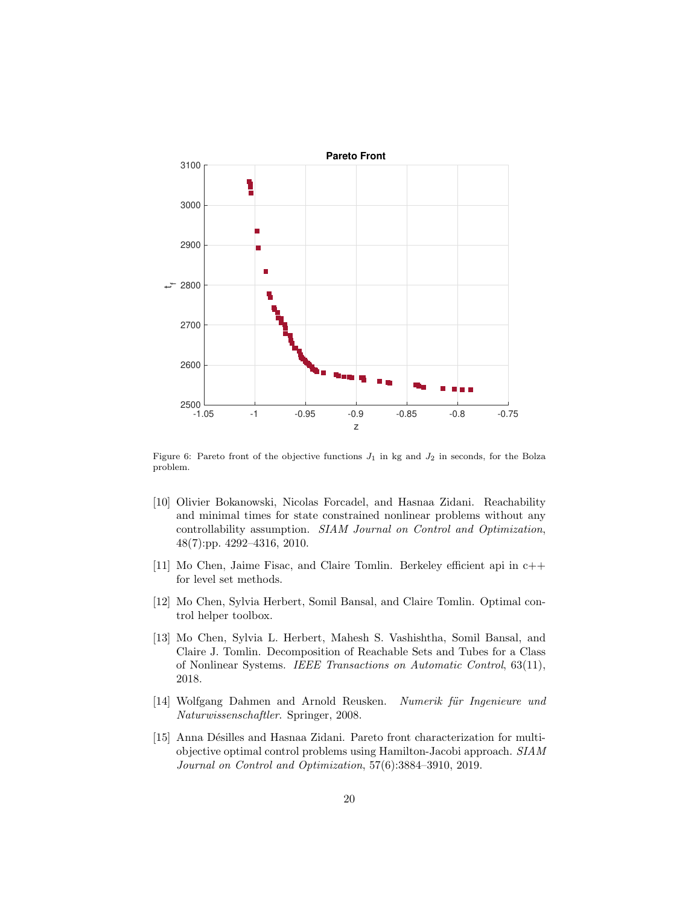

Figure 6: Pareto front of the objective functions  $J_1$  in kg and  $J_2$  in seconds, for the Bolza problem.

- [10] Olivier Bokanowski, Nicolas Forcadel, and Hasnaa Zidani. Reachability and minimal times for state constrained nonlinear problems without any controllability assumption. *SIAM Journal on Control and Optimization*, 48(7):pp. 4292–4316, 2010.
- [11] Mo Chen, Jaime Fisac, and Claire Tomlin. Berkeley efficient api in c++ for level set methods.
- [12] Mo Chen, Sylvia Herbert, Somil Bansal, and Claire Tomlin. Optimal control helper toolbox.
- [13] Mo Chen, Sylvia L. Herbert, Mahesh S. Vashishtha, Somil Bansal, and Claire J. Tomlin. Decomposition of Reachable Sets and Tubes for a Class of Nonlinear Systems. *IEEE Transactions on Automatic Control*, 63(11), 2018.
- [14] Wolfgang Dahmen and Arnold Reusken. *Numerik für Ingenieure und Naturwissenschaftler*. Springer, 2008.
- [15] Anna Désilles and Hasnaa Zidani. Pareto front characterization for multiobjective optimal control problems using Hamilton-Jacobi approach. *SIAM Journal on Control and Optimization*, 57(6):3884–3910, 2019.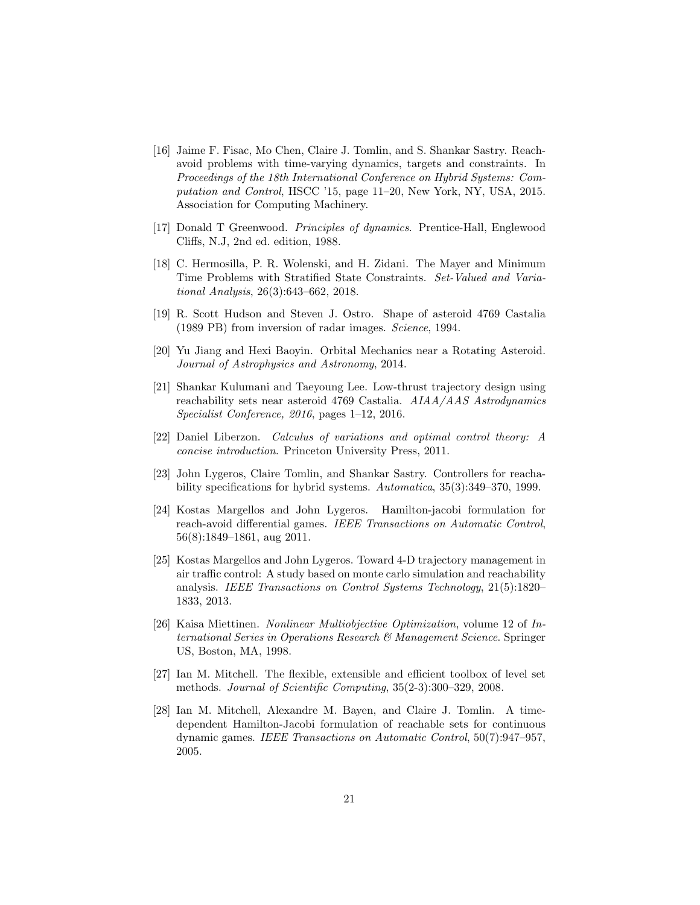- [16] Jaime F. Fisac, Mo Chen, Claire J. Tomlin, and S. Shankar Sastry. Reachavoid problems with time-varying dynamics, targets and constraints. In *Proceedings of the 18th International Conference on Hybrid Systems: Computation and Control*, HSCC '15, page 11–20, New York, NY, USA, 2015. Association for Computing Machinery.
- [17] Donald T Greenwood. *Principles of dynamics*. Prentice-Hall, Englewood Cliffs, N.J, 2nd ed. edition, 1988.
- [18] C. Hermosilla, P. R. Wolenski, and H. Zidani. The Mayer and Minimum Time Problems with Stratified State Constraints. *Set-Valued and Variational Analysis*, 26(3):643–662, 2018.
- [19] R. Scott Hudson and Steven J. Ostro. Shape of asteroid 4769 Castalia (1989 PB) from inversion of radar images. *Science*, 1994.
- [20] Yu Jiang and Hexi Baoyin. Orbital Mechanics near a Rotating Asteroid. *Journal of Astrophysics and Astronomy*, 2014.
- [21] Shankar Kulumani and Taeyoung Lee. Low-thrust trajectory design using reachability sets near asteroid 4769 Castalia. *AIAA/AAS Astrodynamics Specialist Conference, 2016*, pages 1–12, 2016.
- [22] Daniel Liberzon. *Calculus of variations and optimal control theory: A concise introduction*. Princeton University Press, 2011.
- [23] John Lygeros, Claire Tomlin, and Shankar Sastry. Controllers for reachability specifications for hybrid systems. *Automatica*, 35(3):349–370, 1999.
- [24] Kostas Margellos and John Lygeros. Hamilton-jacobi formulation for reach-avoid differential games. *IEEE Transactions on Automatic Control*, 56(8):1849–1861, aug 2011.
- [25] Kostas Margellos and John Lygeros. Toward 4-D trajectory management in air traffic control: A study based on monte carlo simulation and reachability analysis. *IEEE Transactions on Control Systems Technology*, 21(5):1820– 1833, 2013.
- [26] Kaisa Miettinen. *Nonlinear Multiobjective Optimization*, volume 12 of *International Series in Operations Research & Management Science*. Springer US, Boston, MA, 1998.
- [27] Ian M. Mitchell. The flexible, extensible and efficient toolbox of level set methods. *Journal of Scientific Computing*, 35(2-3):300–329, 2008.
- [28] Ian M. Mitchell, Alexandre M. Bayen, and Claire J. Tomlin. A timedependent Hamilton-Jacobi formulation of reachable sets for continuous dynamic games. *IEEE Transactions on Automatic Control*, 50(7):947–957, 2005.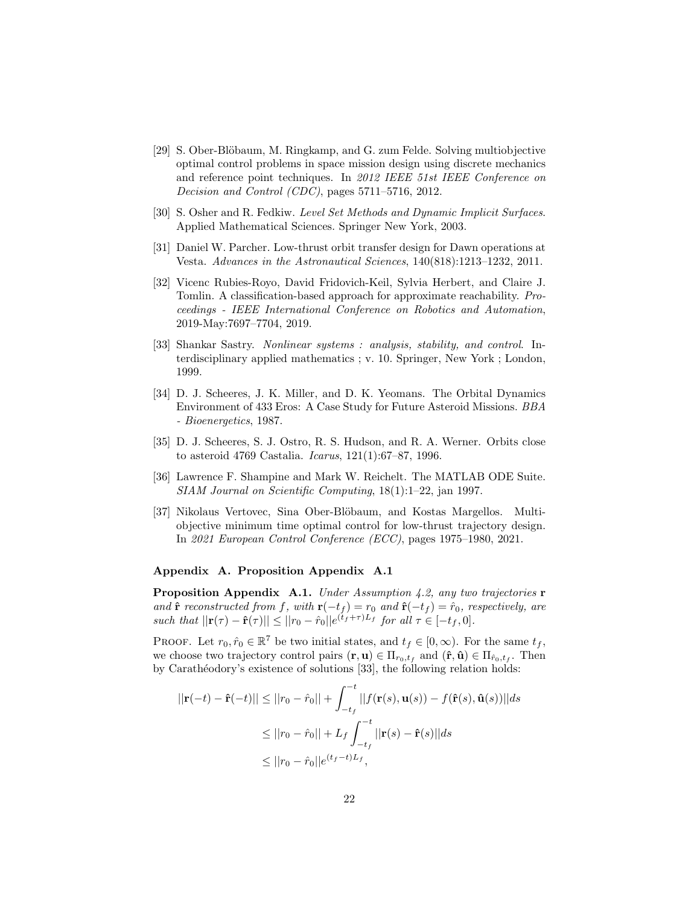- [29] S. Ober-Blöbaum, M. Ringkamp, and G. zum Felde. Solving multiobjective optimal control problems in space mission design using discrete mechanics and reference point techniques. In *2012 IEEE 51st IEEE Conference on Decision and Control (CDC)*, pages 5711–5716, 2012.
- [30] S. Osher and R. Fedkiw. *Level Set Methods and Dynamic Implicit Surfaces*. Applied Mathematical Sciences. Springer New York, 2003.
- [31] Daniel W. Parcher. Low-thrust orbit transfer design for Dawn operations at Vesta. *Advances in the Astronautical Sciences*, 140(818):1213–1232, 2011.
- [32] Vicenc Rubies-Royo, David Fridovich-Keil, Sylvia Herbert, and Claire J. Tomlin. A classification-based approach for approximate reachability. *Proceedings - IEEE International Conference on Robotics and Automation*, 2019-May:7697–7704, 2019.
- [33] Shankar Sastry. *Nonlinear systems : analysis, stability, and control*. Interdisciplinary applied mathematics ; v. 10. Springer, New York ; London, 1999.
- [34] D. J. Scheeres, J. K. Miller, and D. K. Yeomans. The Orbital Dynamics Environment of 433 Eros: A Case Study for Future Asteroid Missions. *BBA - Bioenergetics*, 1987.
- [35] D. J. Scheeres, S. J. Ostro, R. S. Hudson, and R. A. Werner. Orbits close to asteroid 4769 Castalia. *Icarus*, 121(1):67–87, 1996.
- [36] Lawrence F. Shampine and Mark W. Reichelt. The MATLAB ODE Suite. *SIAM Journal on Scientific Computing*, 18(1):1–22, jan 1997.
- [37] Nikolaus Vertovec, Sina Ober-Blöbaum, and Kostas Margellos. Multiobjective minimum time optimal control for low-thrust trajectory design. In *2021 European Control Conference (ECC)*, pages 1975–1980, 2021.

## Appendix A. Proposition Appendix A.1

Proposition Appendix A.1. *Under Assumption 4.2, any two trajectories* r *and*  $\hat{\mathbf{r}}$  *reconstructed from* f*, with*  $\mathbf{r}(-t_f) = r_0$  *and*  $\hat{\mathbf{r}}(-t_f) = \hat{r}_0$ *, respectively, are such that*  $||\mathbf{r}(\tau) - \hat{\mathbf{r}}(\tau)|| \leq ||r_0 - \hat{r}_0||e^{(t_f + \tau)L_f}$  for all  $\tau \in [-t_f, 0]$ .

PROOF. Let  $r_0, \hat{r}_0 \in \mathbb{R}^7$  be two initial states, and  $t_f \in [0, \infty)$ . For the same  $t_f$ , we choose two trajectory control pairs  $(\mathbf{r}, \mathbf{u}) \in \Pi_{r_0, t_f}$  and  $(\hat{\mathbf{r}}, \hat{\mathbf{u}}) \in \Pi_{\hat{r}_0, t_f}$ . Then by Carath´eodory's existence of solutions [33], the following relation holds:

$$
||\mathbf{r}(-t) - \hat{\mathbf{r}}(-t)|| \le ||r_0 - \hat{r}_0|| + \int_{-t_f}^{-t} ||f(\mathbf{r}(s), \mathbf{u}(s)) - f(\hat{\mathbf{r}}(s), \hat{\mathbf{u}}(s))|| ds
$$
  
\n
$$
\le ||r_0 - \hat{r}_0|| + L_f \int_{-t_f}^{-t} ||\mathbf{r}(s) - \hat{\mathbf{r}}(s)|| ds
$$
  
\n
$$
\le ||r_0 - \hat{r}_0||e^{(t_f - t)L_f},
$$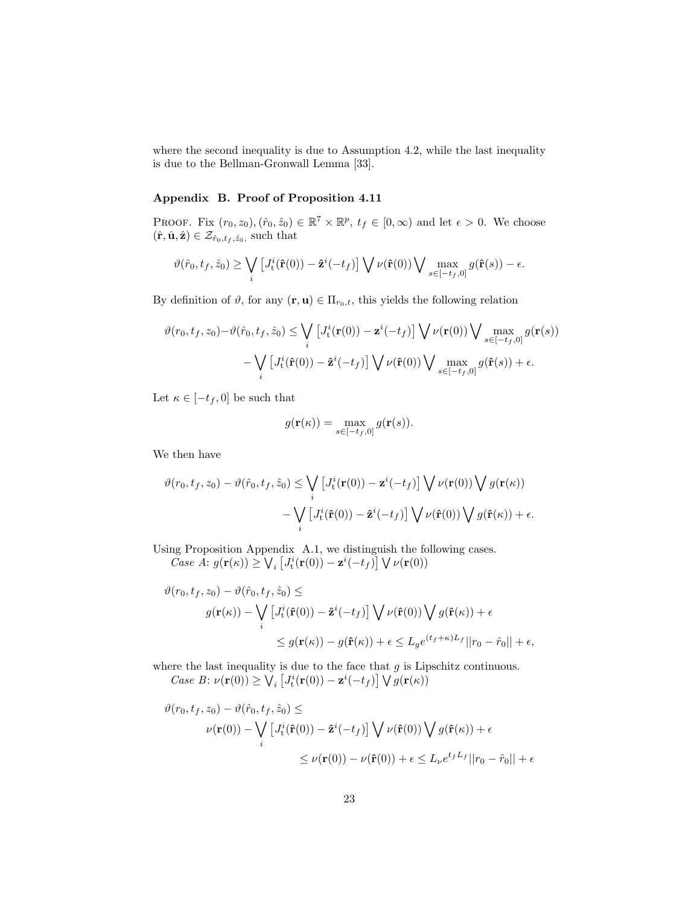where the second inequality is due to Assumption 4.2, while the last inequality is due to the Bellman-Gronwall Lemma [33].

## Appendix B. Proof of Proposition 4.11

PROOF. Fix  $(r_0, z_0), (\hat{r}_0, \hat{z}_0) \in \mathbb{R}^7 \times \mathbb{R}^p$ ,  $t_f \in [0, \infty)$  and let  $\epsilon > 0$ . We choose  $(\hat{\mathbf{r}}, \hat{\mathbf{u}}, \hat{\mathbf{z}}) \in \mathcal{Z}_{\hat{r}_0, t_f, \hat{z}_0}$ , such that

$$
\vartheta(\hat{r}_0, t_f, \hat{z}_0) \ge \bigvee_i \left[ J_t^i(\hat{\mathbf{r}}(0)) - \hat{\mathbf{z}}^i(-t_f) \right] \bigvee \nu(\hat{\mathbf{r}}(0)) \bigvee \max_{s \in [-t_f, 0]} g(\hat{\mathbf{r}}(s)) - \epsilon.
$$

By definition of  $\vartheta$ , for any  $(\mathbf{r}, \mathbf{u}) \in \Pi_{r_0,t}$ , this yields the following relation

$$
\vartheta(r_0, t_f, z_0) - \vartheta(\hat{r}_0, t_f, \hat{z}_0) \le \bigvee_i \left[ J_t^i(\mathbf{r}(0)) - \mathbf{z}^i(-t_f) \right] \bigvee \nu(\mathbf{r}(0)) \bigvee \max_{s \in [-t_f, 0]} g(\mathbf{r}(s)) \n- \bigvee_i \left[ J_t^i(\hat{\mathbf{r}}(0)) - \hat{\mathbf{z}}^i(-t_f) \right] \bigvee \nu(\hat{\mathbf{r}}(0)) \bigvee \max_{s \in [-t_f, 0]} g(\hat{\mathbf{r}}(s)) + \epsilon.
$$

Let  $\kappa \in [-t_f, 0]$  be such that

$$
g(\mathbf{r}(\kappa)) = \max_{s \in [-t_f, 0]} g(\mathbf{r}(s)).
$$

We then have

$$
\vartheta(r_0, t_f, z_0) - \vartheta(\hat{r}_0, t_f, \hat{z}_0) \le \bigvee_i \left[ J_t^i(\mathbf{r}(0)) - \mathbf{z}^i(-t_f) \right] \bigvee \nu(\mathbf{r}(0)) \bigvee g(\mathbf{r}(\kappa))
$$

$$
- \bigvee_i \left[ J_t^i(\hat{\mathbf{r}}(0)) - \hat{\mathbf{z}}^i(-t_f) \right] \bigvee \nu(\hat{\mathbf{r}}(0)) \bigvee g(\hat{\mathbf{r}}(\kappa)) + \epsilon.
$$

Using Proposition Appendix A.1, we distinguish the following cases. *Case A*:  $g(\mathbf{r}(\kappa)) \geq \bigvee_i \left[ J_t^i(\mathbf{r}(0)) - \mathbf{z}^i(-t_f) \right] \bigvee \nu(\mathbf{r}(0))$ 

$$
\vartheta(r_0, t_f, z_0) - \vartheta(\hat{r}_0, t_f, \hat{z}_0) \le
$$
  

$$
g(\mathbf{r}(\kappa)) - \bigvee_i \left[ J_t^i(\hat{\mathbf{r}}(0)) - \hat{\mathbf{z}}^i(-t_f) \right] \bigvee \nu(\hat{\mathbf{r}}(0)) \bigvee g(\hat{\mathbf{r}}(\kappa)) + \epsilon
$$
  

$$
\leq g(\mathbf{r}(\kappa)) - g(\hat{\mathbf{r}}(\kappa)) + \epsilon \leq L_g e^{(t_f + \kappa)L_f} ||r_0 - \hat{r}_0|| + \epsilon,
$$

where the last inequality is due to the face that  $g$  is Lipschitz continuous. *Case B*:  $\nu(\mathbf{r}(0)) \ge \bigvee_i \left[ J_t^i(\mathbf{r}(0)) - \mathbf{z}^i(-t_f) \right] \bigvee g(\mathbf{r}(\kappa))$ 

$$
\vartheta(r_0, t_f, z_0) - \vartheta(\hat{r}_0, t_f, \hat{z}_0) \le
$$
\n
$$
\nu(\mathbf{r}(0)) - \bigvee_i \left[ J_t^i(\hat{\mathbf{r}}(0)) - \hat{\mathbf{z}}^i(-t_f) \right] \bigvee \nu(\hat{\mathbf{r}}(0)) \bigvee g(\hat{\mathbf{r}}(\kappa)) + \epsilon
$$
\n
$$
\leq \nu(\mathbf{r}(0)) - \nu(\hat{\mathbf{r}}(0)) + \epsilon \leq L_{\nu} e^{t_f L_f} ||r_0 - \hat{r}_0|| + \epsilon
$$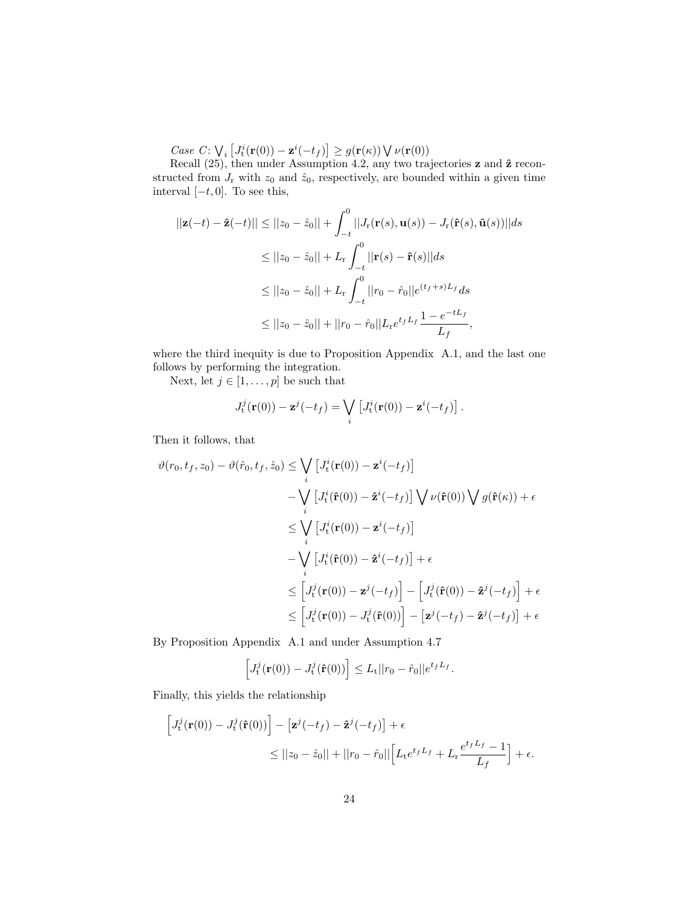*Case C*:  $\bigvee_i \left[ J_t^i(\mathbf{r}(0)) - \mathbf{z}^i(-t_f) \right] \ge g(\mathbf{r}(\kappa)) \bigvee \nu(\mathbf{r}(0))$ 

Recall  $(25)$ , then under Assumption 4.2, any two trajectories **z** and  $\hat{\mathbf{z}}$  reconstructed from  $J_r$  with  $z_0$  and  $\hat{z}_0$ , respectively, are bounded within a given time interval  $[-t, 0]$ . To see this,

$$
||\mathbf{z}(-t) - \hat{\mathbf{z}}(-t)|| \le ||z_0 - \hat{z}_0|| + \int_{-t}^0 ||J_{\mathbf{r}}(\mathbf{r}(s), \mathbf{u}(s)) - J_{\mathbf{r}}(\hat{\mathbf{r}}(s), \hat{\mathbf{u}}(s))||ds
$$
  
\n
$$
\le ||z_0 - \hat{z}_0|| + L_{\mathbf{r}} \int_{-t}^0 ||\mathbf{r}(s) - \hat{\mathbf{r}}(s)||ds
$$
  
\n
$$
\le ||z_0 - \hat{z}_0|| + L_{\mathbf{r}} \int_{-t}^0 ||r_0 - \hat{r}_0||e^{(t_f + s)L_f}ds
$$
  
\n
$$
\le ||z_0 - \hat{z}_0|| + ||r_0 - \hat{r}_0||L_{\mathbf{r}}e^{t_fL_f}\frac{1 - e^{-tL_f}}{L_f},
$$

where the third inequity is due to Proposition Appendix A.1, and the last one follows by performing the integration.

Next, let  $j \in [1, \ldots, p]$  be such that

$$
J_{\mathbf{t}}^{j}(\mathbf{r}(0)) - \mathbf{z}^{j}(-t_{f}) = \bigvee_{i} \left[ J_{\mathbf{t}}^{i}(\mathbf{r}(0)) - \mathbf{z}^{i}(-t_{f}) \right].
$$

Then it follows, that

$$
\vartheta(r_0, t_f, z_0) - \vartheta(\hat{r}_0, t_f, \hat{z}_0) \leq \bigvee_i \left[ J_t^i(\mathbf{r}(0)) - \mathbf{z}^i(-t_f) \right] \n- \bigvee_i \left[ J_t^i(\hat{\mathbf{r}}(0)) - \hat{\mathbf{z}}^i(-t_f) \right] \bigvee \nu(\hat{\mathbf{r}}(0)) \bigvee g(\hat{\mathbf{r}}(\kappa)) + \epsilon \n\leq \bigvee_i \left[ J_t^i(\mathbf{r}(0)) - \mathbf{z}^i(-t_f) \right] \n- \bigvee_i \left[ J_t^i(\hat{\mathbf{r}}(0)) - \hat{\mathbf{z}}^i(-t_f) \right] + \epsilon \n\leq \left[ J_t^j(\mathbf{r}(0)) - \mathbf{z}^j(-t_f) \right] - \left[ J_t^j(\hat{\mathbf{r}}(0)) - \hat{\mathbf{z}}^j(-t_f) \right] + \epsilon \n\leq \left[ J_t^j(\mathbf{r}(0)) - J_t^j(\hat{\mathbf{r}}(0)) \right] - \left[ \mathbf{z}^j(-t_f) - \hat{\mathbf{z}}^j(-t_f) \right] + \epsilon
$$

By Proposition Appendix A.1 and under Assumption 4.7

$$
\left[J_t^j(\mathbf{r}(0))-J_t^j(\mathbf{\hat{r}}(0))\right] \leq L_t ||r_0-\hat{r}_0||e^{t_f L_f}.
$$

Finally, this yields the relationship

$$
\begin{aligned} \left[J_t^j(\mathbf{r}(0)) - J_t^j(\hat{\mathbf{r}}(0))\right] - \left[\mathbf{z}^j(-t_f) - \hat{\mathbf{z}}^j(-t_f)\right] + \epsilon \\ &\le ||z_0 - \hat{z}_0|| + ||r_0 - \hat{r}_0|| \Big[L_t e^{t_f L_f} + L_t \frac{e^{t_f L_f} - 1}{L_f}\Big] + \epsilon. \end{aligned}
$$